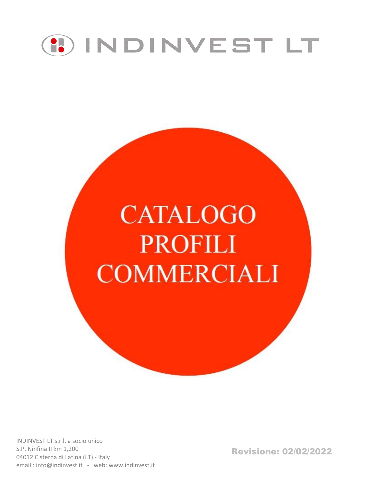

# **CATALOGO PROFILI COMMERCIALI**

Revisione: 02/02/2022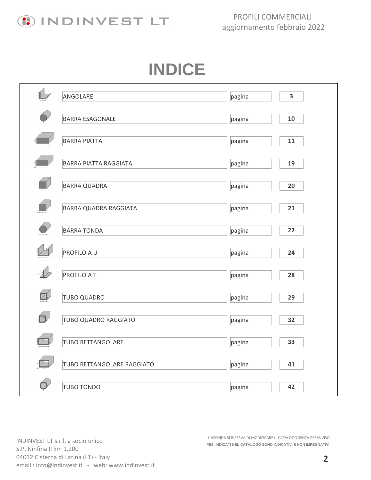

# **INDICE**

|                                        | ANGOLARE                     | pagina | $\overline{\mathbf{3}}$ |
|----------------------------------------|------------------------------|--------|-------------------------|
|                                        | <b>BARRA ESAGONALE</b>       | pagina | 10                      |
|                                        | <b>BARRA PIATTA</b>          | pagina | 11                      |
|                                        | <b>BARRA PIATTA RAGGIATA</b> | pagina | 19                      |
|                                        | <b>BARRA QUADRA</b>          | pagina | 20                      |
|                                        | <b>BARRA QUADRA RAGGIATA</b> | pagina | 21                      |
|                                        | <b>BARRA TONDA</b>           | pagina | 22                      |
|                                        | PROFILO A U                  | pagina | 24                      |
|                                        |                              |        |                         |
|                                        | <b>PROFILO A T</b>           | pagina | 28                      |
|                                        | <b>TUBO QUADRO</b>           | pagina | 29                      |
| $\begin{bmatrix} 1 \\ 1 \end{bmatrix}$ | TUBO QUADRO RAGGIATO         | pagina | 32                      |
|                                        | <b>TUBO RETTANGOLARE</b>     | pagina | 33                      |
|                                        | TUBO RETTANGOLARE RAGGIATO   | pagina | 41                      |
|                                        | <b>TUBO TONDO</b>            | pagina | 42                      |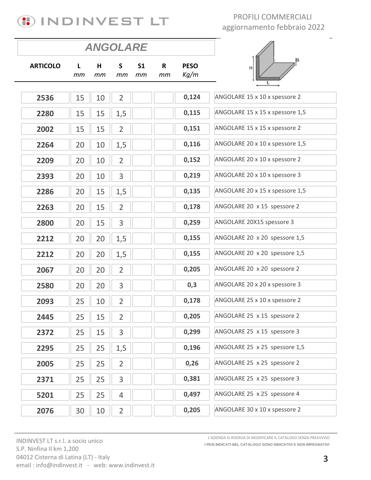

|                 |          | <b>ANGOLARE</b> |                |                      |                    |                     |                                 |
|-----------------|----------|-----------------|----------------|----------------------|--------------------|---------------------|---------------------------------|
| <b>ARTICOLO</b> | L.<br>тm | H<br>mт         | S<br>тm        | S <sub>1</sub><br>тm | $\mathsf{R}$<br>mт | <b>PESO</b><br>Kg/m | H                               |
| 2536            | 15       | 10              | $\overline{2}$ |                      |                    | 0,124               | ANGOLARE 15 x 10 x spessore 2   |
| 2280            | 15       | 15              | 1,5            |                      |                    | 0,115               | ANGOLARE 15 x 15 x spessore 1,5 |
| 2002            | 15       | 15              | $\overline{2}$ |                      |                    | 0,151               | ANGOLARE 15 x 15 x spessore 2   |
| 2264            | 20       | 10              | 1,5            |                      |                    | 0,116               | ANGOLARE 20 x 10 x spessore 1,5 |
| 2209            | 20       | 10              | $\overline{2}$ |                      |                    | 0,152               | ANGOLARE 20 x 10 x spessore 2   |
| 2393            | 20       | 10              | 3              |                      |                    | 0,219               | ANGOLARE 20 x 10 x spessore 3   |
| 2286            | 20       | 15              | 1,5            |                      |                    | 0,135               | ANGOLARE 20 x 15 x spessore 1,5 |
| 2263            | 20       | 15              | $\overline{2}$ |                      |                    | 0,178               | ANGOLARE 20 x 15 spessore 2     |
| 2800            | 20       | 15              | 3              |                      |                    | 0,259               | ANGOLARE 20X15 spessore 3       |
| 2212            | 20       | 20              | 1,5            |                      |                    | 0,155               | ANGOLARE 20 x 20 spessore 1,5   |
| 2212            | 20       | 20              | 1,5            |                      |                    | 0,155               | ANGOLARE 20 x 20 spessore 1,5   |
| 2067            | 20       | 20              | $\overline{2}$ |                      |                    | 0,205               | ANGOLARE 20 x 20 spessore 2     |
| 2580            | 20       | 20              | 3              |                      |                    | 0,3                 | ANGOLARE 20 x 20 x spessore 3   |
| 2093            | 25       | 10              | $\overline{2}$ |                      |                    | 0,178               | ANGOLARE 25 x 10 x spessore 2   |
| 2445            | 25       | 15              | $\overline{2}$ |                      |                    | 0,205               | ANGOLARE 25 x 15 spessore 2     |
| 2372            | 25       | 15              | 3              |                      |                    | 0,299               | ANGOLARE 25 x 15 spessore 3     |
| 2295            | 25       | 25              | 1,5            |                      |                    | 0,196               | ANGOLARE 25 x 25 spessore 1,5   |
| 2005            | 25       | 25              | $\overline{2}$ |                      |                    | 0,26                | ANGOLARE 25 x 25 spessore 2     |
| 2371            | 25       | 25              | 3              |                      |                    | 0,381               | ANGOLARE 25 x 25 spessore 3     |
| 5201            | 25       | 25              | $\overline{4}$ |                      |                    | 0,497               | ANGOLARE 25 x 25 spessore 4     |
| 2076            | 30       | 10              | $\overline{2}$ |                      |                    | 0,205               | ANGOLARE 30 x 10 x spessore 2   |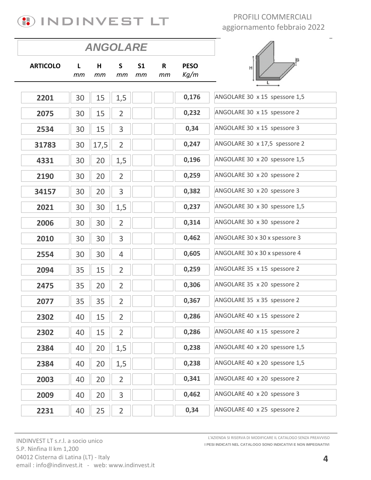# **(!) INDINVEST LT**

### PROFILI COMMERCIALI aggiornamento febbraio 2022

|                 |         | <b>ANGOLARE</b> |                |                      |                   |                     |                               |
|-----------------|---------|-----------------|----------------|----------------------|-------------------|---------------------|-------------------------------|
| <b>ARTICOLO</b> | L<br>тm | H<br>тm         | S<br>тm        | S <sub>1</sub><br>mm | $\mathbf R$<br>mm | <b>PESO</b><br>Kg/m | н                             |
|                 |         |                 |                |                      |                   |                     |                               |
| 2201            | 30      | 15              | 1,5            |                      |                   | 0,176               | ANGOLARE 30 x 15 spessore 1,5 |
| 2075            | 30      | 15              | $\overline{2}$ |                      |                   | 0,232               | ANGOLARE 30 x 15 spessore 2   |
| 2534            | 30      | 15              | 3              |                      |                   | 0,34                | ANGOLARE 30 x 15 spessore 3   |
| 31783           | 30      | 17,5            | $\overline{2}$ |                      |                   | 0,247               | ANGOLARE 30 x 17,5 spessore 2 |
| 4331            | 30      | 20              | 1,5            |                      |                   | 0,196               | ANGOLARE 30 x 20 spessore 1,5 |
| 2190            | 30      | 20              | $\overline{2}$ |                      |                   | 0,259               | ANGOLARE 30 x 20 spessore 2   |
| 34157           | 30      | 20              | 3              |                      |                   | 0,382               | ANGOLARE 30 x 20 spessore 3   |
| 2021            | 30      | 30              | 1,5            |                      |                   | 0,237               | ANGOLARE 30 x 30 spessore 1,5 |
| 2006            | 30      | 30              | $\overline{2}$ |                      |                   | 0,314               | ANGOLARE 30 x 30 spessore 2   |
| 2010            | 30      | 30              | 3              |                      |                   | 0,462               | ANGOLARE 30 x 30 x spessore 3 |
| 2554            | 30      | 30              | $\overline{4}$ |                      |                   | 0,605               | ANGOLARE 30 x 30 x spessore 4 |
| 2094            | 35      | 15              | $\overline{2}$ |                      |                   | 0,259               | ANGOLARE 35 x 15 spessore 2   |
| 2475            | 35      | 20              | $\overline{2}$ |                      |                   | 0,306               | ANGOLARE 35 x 20 spessore 2   |
| 2077            | 35      | 35              | $\overline{2}$ |                      |                   | 0,367               | ANGOLARE 35 x 35 spessore 2   |
| 2302            | 40      | 15              | $\overline{2}$ |                      |                   | 0,286               | ANGOLARE 40 x 15 spessore 2   |
| 2302            | 40      | 15              | $\overline{2}$ |                      |                   | 0,286               | ANGOLARE 40 x 15 spessore 2   |
| 2384            | 40      | 20              | 1,5            |                      |                   | 0,238               | ANGOLARE 40 x 20 spessore 1,5 |
| 2384            | 40      | 20              | 1,5            |                      |                   | 0,238               | ANGOLARE 40 x 20 spessore 1,5 |
| 2003            | 40      | 20              | $\overline{2}$ |                      |                   | 0,341               | ANGOLARE 40 x 20 spessore 2   |
| 2009            | 40      | 20              | 3              |                      |                   | 0,462               | ANGOLARE 40 x 20 spessore 3   |
| 2231            | 40      | 25              | $\overline{2}$ |                      |                   | 0,34                | ANGOLARE 40 x 25 spessore 2   |

INDINVEST LT s.r.l. a socio unico S.P. Ninfina II km 1,200 04012 Cisterna di Latina (LT) - Italy email: info@indinvest.it - web: www.indinvest.it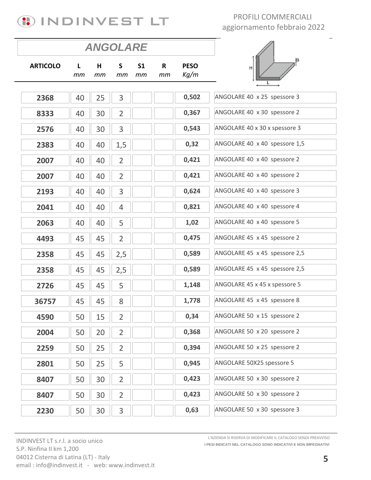

|                 |         | <b>ANGOLARE</b> |                |                      |         |                     |                               |
|-----------------|---------|-----------------|----------------|----------------------|---------|---------------------|-------------------------------|
| <b>ARTICOLO</b> | L<br>mm | н<br>mm         | S<br>mm        | S <sub>1</sub><br>тm | R<br>mт | <b>PESO</b><br>Kg/m | H                             |
|                 |         |                 |                |                      |         |                     |                               |
| 2368            | 40      | 25              | 3              |                      |         | 0,502               | ANGOLARE 40 x 25 spessore 3   |
| 8333            | 40      | 30              | $\overline{2}$ |                      |         | 0,367               | ANGOLARE 40 x 30 spessore 2   |
| 2576            | 40      | 30              | 3              |                      |         | 0,543               | ANGOLARE 40 x 30 x spessore 3 |
| 2383            | 40      | 40              | 1,5            |                      |         | 0,32                | ANGOLARE 40 x 40 spessore 1,5 |
| 2007            | 40      | 40              | $\overline{2}$ |                      |         | 0,421               | ANGOLARE 40 x 40 spessore 2   |
| 2007            | 40      | 40              | $\overline{2}$ |                      |         | 0,421               | ANGOLARE 40 x 40 spessore 2   |
| 2193            | 40      | 40              | 3              |                      |         | 0,624               | ANGOLARE 40 x 40 spessore 3   |
| 2041            | 40      | 40              | $\overline{4}$ |                      |         | 0,821               | ANGOLARE 40 x 40 spessore 4   |
| 2063            | 40      | 40              | 5              |                      |         | 1,02                | ANGOLARE 40 x 40 spessore 5   |
| 4493            | 45      | 45              | $\overline{2}$ |                      |         | 0,475               | ANGOLARE 45 x 45 spessore 2   |
| 2358            | 45      | 45              | 2,5            |                      |         | 0,589               | ANGOLARE 45 x 45 spessore 2,5 |
| 2358            | 45      | 45              | 2,5            |                      |         | 0,589               | ANGOLARE 45 x 45 spessore 2,5 |
| 2726            | 45      | 45              | 5              |                      |         | 1,148               | ANGOLARE 45 x 45 x spessore 5 |
| 36757           | 45      | 45              | 8              |                      |         | 1,778               | ANGOLARE 45 x 45 spessore 8   |
| 4590            | 50      | 15              | 2              |                      |         | 0,34                | ANGOLARE 50 x 15 spessore 2   |
| 2004            | 50      | 20              | $\overline{2}$ |                      |         | 0,368               | ANGOLARE 50 x 20 spessore 2   |
| 2259            | 50      | 25              | $\overline{2}$ |                      |         | 0,394               | ANGOLARE 50 x 25 spessore 2   |
| 2801            | 50      | 25              | 5              |                      |         | 0,945               | ANGOLARE 50X25 spessore 5     |
| 8407            | 50      | 30              | $\overline{2}$ |                      |         | 0,423               | ANGOLARE 50 x 30 spessore 2   |
| 8407            | 50      | 30              | $\overline{2}$ |                      |         | 0,423               | ANGOLARE 50 x 30 spessore 2   |
| 2230            | 50      | 30              | 3              |                      |         | 0,63                | ANGOLARE 50 x 30 spessore 3   |

INDINVEST LT s.r.l. a socio unico S.P. Ninfina II km 1,200 04012 Cisterna di Latina (LT) - Italy email: info@indinvest.it - web: www.indinvest.it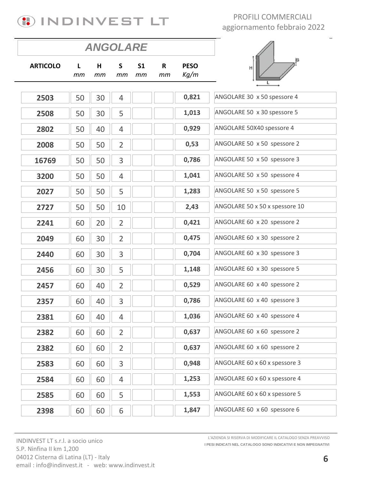

|                 |         | <b>ANGOLARE</b> |                |                      |                    |                     |                                |
|-----------------|---------|-----------------|----------------|----------------------|--------------------|---------------------|--------------------------------|
| <b>ARTICOLO</b> | L<br>mm | H<br>mm         | S<br>mm        | S <sub>1</sub><br>mm | $\mathsf{R}$<br>mm | <b>PESO</b><br>Kg/m | Н                              |
|                 |         |                 |                |                      |                    |                     |                                |
| 2503            | 50      | 30              | $\overline{4}$ |                      |                    | 0,821               | ANGOLARE 30 x 50 spessore 4    |
| 2508            | 50      | 30              | 5              |                      |                    | 1,013               | ANGOLARE 50 x 30 spessore 5    |
| 2802            | 50      | 40              | $\overline{4}$ |                      |                    | 0,929               | ANGOLARE 50X40 spessore 4      |
| 2008            | 50      | 50              | $\overline{2}$ |                      |                    | 0,53                | ANGOLARE 50 x 50 spessore 2    |
| 16769           | 50      | 50              | 3              |                      |                    | 0,786               | ANGOLARE 50 x 50 spessore 3    |
| 3200            | 50      | 50              | $\overline{4}$ |                      |                    | 1,041               | ANGOLARE 50 x 50 spessore 4    |
| 2027            | 50      | 50              | 5              |                      |                    | 1,283               | ANGOLARE 50 x 50 spessore 5    |
| 2727            | 50      | 50              | 10             |                      |                    | 2,43                | ANGOLARE 50 x 50 x spessore 10 |
| 2241            | 60      | 20              | $\overline{2}$ |                      |                    | 0,421               | ANGOLARE 60 x 20 spessore 2    |
| 2049            | 60      | 30              | $\overline{2}$ |                      |                    | 0,475               | ANGOLARE 60 x 30 spessore 2    |
| 2440            | 60      | 30              | 3              |                      |                    | 0,704               | ANGOLARE 60 x 30 spessore 3    |
| 2456            | 60      | 30              | 5              |                      |                    | 1,148               | ANGOLARE 60 x 30 spessore 5    |
| 2457            | 60      | 40              | $\overline{2}$ |                      |                    | 0,529               | ANGOLARE 60 x 40 spessore 2    |
| 2357            | 60      | 40              | 3              |                      |                    | 0,786               | ANGOLARE 60 x 40 spessore 3    |
| 2381            | 60      | 40              | $\overline{4}$ |                      |                    | 1,036               | ANGOLARE 60 x 40 spessore 4    |
| 2382            | 60      | 60              | $\overline{2}$ |                      |                    | 0,637               | ANGOLARE 60 x 60 spessore 2    |
| 2382            | 60      | 60              | $\overline{2}$ |                      |                    | 0,637               | ANGOLARE 60 x 60 spessore 2    |
| 2583            | 60      | 60              | 3              |                      |                    | 0,948               | ANGOLARE 60 x 60 x spessore 3  |
| 2584            | 60      | 60              | $\overline{4}$ |                      |                    | 1,253               | ANGOLARE 60 x 60 x spessore 4  |
| 2585            | 60      | 60              | 5              |                      |                    | 1,553               | ANGOLARE 60 x 60 x spessore 5  |
| 2398            | 60      | 60              | 6              |                      |                    | 1,847               | ANGOLARE 60 x 60 spessore 6    |

INDINVEST LT s.r.l. a socio unico S.P. Ninfina II km 1,200 04012 Cisterna di Latina (LT) - Italy email: info@indinvest.it - web: www.indinvest.it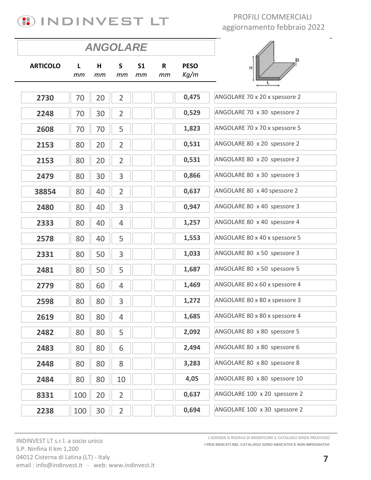

|                 |         | <b>ANGOLARE</b> |                    |                      |                   |                     |                               |
|-----------------|---------|-----------------|--------------------|----------------------|-------------------|---------------------|-------------------------------|
| <b>ARTICOLO</b> | L<br>тm | Н<br>тm         | $\mathsf{S}$<br>mm | S <sub>1</sub><br>тm | $\mathbf R$<br>mm | <b>PESO</b><br>Kg/m | H                             |
|                 |         |                 |                    |                      |                   |                     |                               |
| 2730            | 70      | 20              | $\overline{2}$     |                      |                   | 0,475               | ANGOLARE 70 x 20 x spessore 2 |
| 2248            | 70      | 30              | $\overline{2}$     |                      |                   | 0,529               | ANGOLARE 70 x 30 spessore 2   |
| 2608            | 70      | 70              | 5                  |                      |                   | 1,823               | ANGOLARE 70 x 70 x spessore 5 |
| 2153            | 80      | 20              | $\overline{2}$     |                      |                   | 0,531               | ANGOLARE 80 x 20 spessore 2   |
| 2153            | 80      | 20              | $\overline{2}$     |                      |                   | 0,531               | ANGOLARE 80 x 20 spessore 2   |
| 2479            | 80      | 30              | 3                  |                      |                   | 0,866               | ANGOLARE 80 x 30 spessore 3   |
| 38854           | 80      | 40              | $\overline{2}$     |                      |                   | 0,637               | ANGOLARE 80 x 40 spessore 2   |
| 2480            | 80      | 40              | 3                  |                      |                   | 0,947               | ANGOLARE 80 x 40 spessore 3   |
| 2333            | 80      | 40              | 4                  |                      |                   | 1,257               | ANGOLARE 80 x 40 spessore 4   |
| 2578            | 80      | 40              | 5                  |                      |                   | 1,553               | ANGOLARE 80 x 40 x spessore 5 |
| 2331            | 80      | 50              | 3                  |                      |                   | 1,033               | ANGOLARE 80 x 50 spessore 3   |
| 2481            | 80      | 50              | 5                  |                      |                   | 1,687               | ANGOLARE 80 x 50 spessore 5   |
| 2779            | 80      | 60              | $\overline{4}$     |                      |                   | 1,469               | ANGOLARE 80 x 60 x spessore 4 |
| 2598            | 80      | 80              | 3                  |                      |                   | 1,272               | ANGOLARE 80 x 80 x spessore 3 |
| 2619            | 80      | 80              | 4                  |                      |                   | 1,685               | ANGOLARE 80 x 80 x spessore 4 |
| 2482            | 80      | 80              | 5                  |                      |                   | 2,092               | ANGOLARE 80 x 80 spessore 5   |
| 2483            | 80      | 80              | 6                  |                      |                   | 2,494               | ANGOLARE 80 x 80 spessore 6   |
| 2448            | 80      | 80              | 8                  |                      |                   | 3,283               | ANGOLARE 80 x 80 spessore 8   |
| 2484            | 80      | 80              | 10                 |                      |                   | 4,05                | ANGOLARE 80 x 80 spessore 10  |
| 8331            | 100     | 20              | $\overline{2}$     |                      |                   | 0,637               | ANGOLARE 100 x 20 spessore 2  |
| 2238            | 100     | 30              | $\overline{2}$     |                      |                   | 0,694               | ANGOLARE 100 x 30 spessore 2  |

INDINVEST LT s.r.l. a socio unico S.P. Ninfina II km 1,200 04012 Cisterna di Latina (LT) - Italy email: info@indinvest.it - web: www.indinvest.it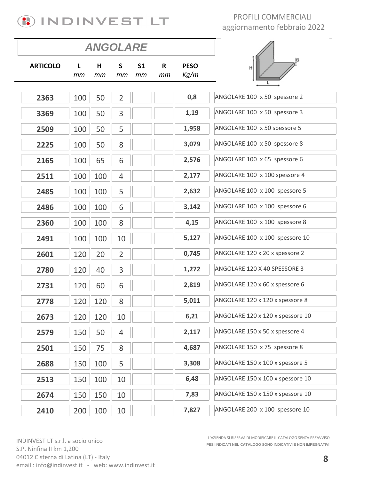

|                 |         | <b>ANGOLARE</b> |                    |                      |                    |                     |                                  |
|-----------------|---------|-----------------|--------------------|----------------------|--------------------|---------------------|----------------------------------|
| <b>ARTICOLO</b> | L<br>тm | H<br>тm         | $\mathsf{S}$<br>mm | S <sub>1</sub><br>mт | $\mathsf{R}$<br>тm | <b>PESO</b><br>Kg/m | <b>S</b><br>Η                    |
| 2363            | 100     | 50              | $\overline{2}$     |                      |                    | 0,8                 | ANGOLARE 100 x 50 spessore 2     |
| 3369            | 100     | 50              | 3                  |                      |                    | 1,19                | ANGOLARE 100 x 50 spessore 3     |
| 2509            | 100     | 50              | 5                  |                      |                    | 1,958               | ANGOLARE 100 x 50 spessore 5     |
| 2225            | 100     | 50              | 8                  |                      |                    | 3,079               | ANGOLARE 100 x 50 spessore 8     |
| 2165            | 100     | 65              | 6                  |                      |                    | 2,576               | ANGOLARE 100 x 65 spessore 6     |
| 2511            | 100     | 100             | $\overline{4}$     |                      |                    | 2,177               | ANGOLARE 100 x 100 spessore 4    |
| 2485            | 100     | 100             | 5                  |                      |                    | 2,632               | ANGOLARE 100 x 100 spessore 5    |
| 2486            | 100     | 100             | 6                  |                      |                    | 3,142               | ANGOLARE 100 x 100 spessore 6    |
| 2360            | 100     | 100             | 8                  |                      |                    | 4,15                | ANGOLARE 100 x 100 spessore 8    |
| 2491            | 100     | 100             | 10                 |                      |                    | 5,127               | ANGOLARE 100 x 100 spessore 10   |
| 2601            | 120     | 20              | $\overline{2}$     |                      |                    | 0,745               | ANGOLARE 120 x 20 x spessore 2   |
| 2780            | 120     | 40              | 3                  |                      |                    | 1,272               | ANGOLARE 120 X 40 SPESSORE 3     |
| 2731            | 120     | 60              | 6                  |                      |                    | 2,819               | ANGOLARE 120 x 60 x spessore 6   |
| 2778            | 120     | 120             | 8                  |                      |                    | 5,011               | ANGOLARE 120 x 120 x spessore 8  |
| 2673            | 120     | 120             | 10                 |                      |                    | 6,21                | ANGOLARE 120 x 120 x spessore 10 |
| 2579            | 150     | 50              | $\overline{4}$     |                      |                    | 2,117               | ANGOLARE 150 x 50 x spessore 4   |
| 2501            | 150     | 75              | 8                  |                      |                    | 4,687               | ANGOLARE 150 x 75 spessore 8     |
| 2688            | 150     | 100             | 5                  |                      |                    | 3,308               | ANGOLARE 150 x 100 x spessore 5  |
| 2513            | 150     | 100             | 10                 |                      |                    | 6,48                | ANGOLARE 150 x 100 x spessore 10 |
| 2674            | 150     | 150             | 10                 |                      |                    | 7,83                | ANGOLARE 150 x 150 x spessore 10 |
| 2410            | 200     | 100             | 10                 |                      |                    | 7,827               | ANGOLARE 200 x 100 spessore 10   |

INDINVEST LT s.r.l. a socio unico S.P. Ninfina II km 1,200 04012 Cisterna di Latina (LT) - Italy email: info@indinvest.it - web: www.indinvest.it **I PESI INDICATI NEL CATALOGO SONO INDICATIVI E NON IMPEGNATIVI** L'AZIENDA SI RISERVA DI MODIFICARE IL CATALOGO SENZA PREAVVISO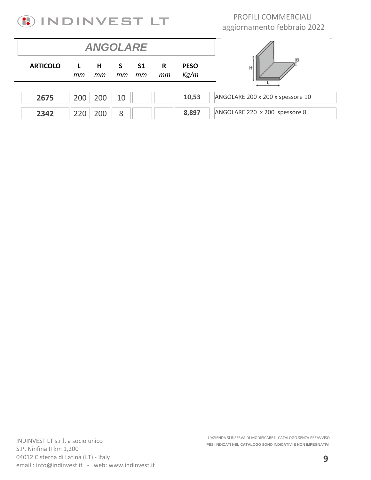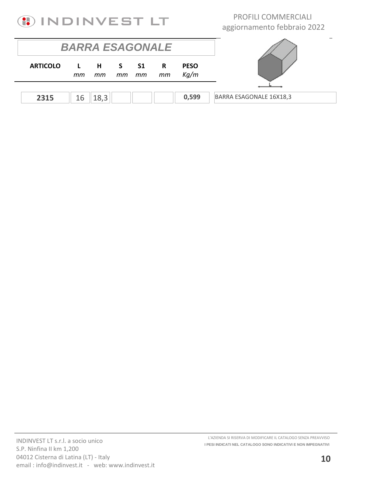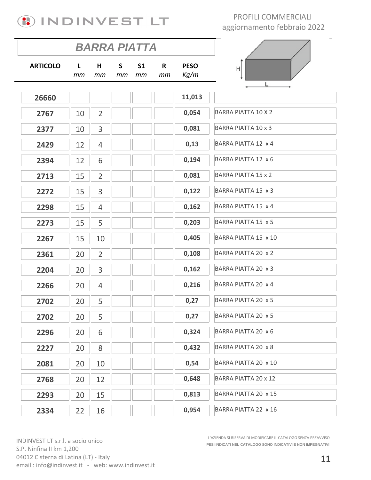

|                 |         |                | <b>BARRA PIATTA</b> |                      |         |                     |                            |
|-----------------|---------|----------------|---------------------|----------------------|---------|---------------------|----------------------------|
| <b>ARTICOLO</b> | L<br>mm | Н<br>mm        | S<br>mm             | S <sub>1</sub><br>mm | R<br>mm | <b>PESO</b><br>Kg/m | Η                          |
| 26660           |         |                |                     |                      |         | 11,013              |                            |
| 2767            | 10      | $\overline{2}$ |                     |                      |         | 0,054               | <b>BARRA PIATTA 10 X 2</b> |
| 2377            | 10      | 3              |                     |                      |         | 0,081               | <b>BARRA PIATTA 10 x 3</b> |
| 2429            | 12      | 4              |                     |                      |         | 0,13                | BARRA PIATTA 12 x 4        |
| 2394            | 12      | 6              |                     |                      |         | 0,194               | BARRA PIATTA 12 x 6        |
| 2713            | 15      | $\overline{2}$ |                     |                      |         | 0,081               | <b>BARRA PIATTA 15 x 2</b> |
| 2272            | 15      | 3              |                     |                      |         | 0,122               | BARRA PIATTA 15 x 3        |
| 2298            | 15      | $\overline{4}$ |                     |                      |         | 0,162               | BARRA PIATTA 15 x 4        |
| 2273            | 15      | 5              |                     |                      |         | 0,203               | <b>BARRA PIATTA 15 x 5</b> |
| 2267            | 15      | 10             |                     |                      |         | 0,405               | BARRA PIATTA 15 x 10       |
| 2361            | 20      | $\overline{2}$ |                     |                      |         | 0,108               | <b>BARRA PIATTA 20 x 2</b> |
| 2204            | 20      | 3              |                     |                      |         | 0,162               | BARRA PIATTA 20 x 3        |
| 2266            | 20      | $\overline{4}$ |                     |                      |         | 0,216               | BARRA PIATTA 20 x 4        |
| 2702            | 20      | 5              |                     |                      |         | 0,27                | <b>BARRA PIATTA 20 x 5</b> |
| 2702            | 20      | 5              |                     |                      |         | 0,27                | BARRA PIATTA 20 x 5        |
| 2296            | 20      | 6              |                     |                      |         | 0,324               | BARRA PIATTA 20 x 6        |
| 2227            | 20      | 8              |                     |                      |         | 0,432               | BARRA PIATTA 20 x 8        |
| 2081            | 20      | 10             |                     |                      |         | 0,54                | BARRA PIATTA 20 x 10       |
| 2768            | 20      | 12             |                     |                      |         | 0,648               | BARRA PIATTA 20 x 12       |
| 2293            | 20      | 15             |                     |                      |         | 0,813               | BARRA PIATTA 20 x 15       |
| 2334            | 22      | 16             |                     |                      |         | 0,954               | BARRA PIATTA 22 x 16       |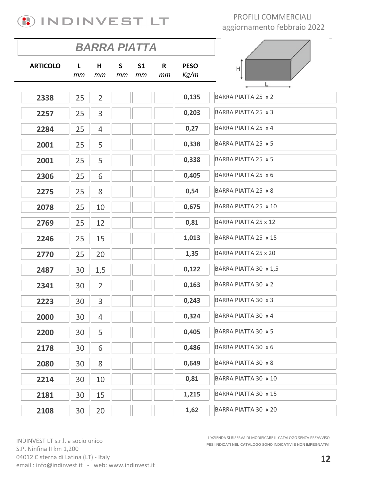

|                 |          | <b>BARRA PIATTA</b> |          |                      |         |                     |                             |
|-----------------|----------|---------------------|----------|----------------------|---------|---------------------|-----------------------------|
| <b>ARTICOLO</b> | L.<br>mm | Н<br>mm             | S.<br>mm | S <sub>1</sub><br>mm | R<br>mm | <b>PESO</b><br>Kg/m | Н                           |
| 2338            | 25       | $\overline{2}$      |          |                      |         | 0,135               | BARRA PIATTA 25 x 2         |
| 2257            | 25       | 3                   |          |                      |         | 0,203               | BARRA PIATTA 25 x 3         |
| 2284            | 25       | $\overline{4}$      |          |                      |         | 0,27                | BARRA PIATTA 25 x 4         |
| 2001            | 25       | 5                   |          |                      |         | 0,338               | BARRA PIATTA 25 x 5         |
| 2001            | 25       | 5                   |          |                      |         | 0,338               | BARRA PIATTA 25 x 5         |
| 2306            | 25       | 6                   |          |                      |         | 0,405               | BARRA PIATTA 25 x 6         |
| 2275            | 25       | 8                   |          |                      |         | 0,54                | BARRA PIATTA 25 x 8         |
| 2078            | 25       | 10                  |          |                      |         | 0,675               | BARRA PIATTA 25 x 10        |
| 2769            | 25       | 12                  |          |                      |         | 0,81                | <b>BARRA PIATTA 25 x 12</b> |
| 2246            | 25       | 15                  |          |                      |         | 1,013               | BARRA PIATTA 25 x 15        |
| 2770            | 25       | 20                  |          |                      |         | 1,35                | BARRA PIATTA 25 x 20        |
| 2487            | 30       | 1,5                 |          |                      |         | 0,122               | BARRA PIATTA 30 x 1,5       |
| 2341            | 30       | $\overline{2}$      |          |                      |         | 0,163               | BARRA PIATTA 30 x 2         |
| 2223            | 30       | 3                   |          |                      |         | 0,243               | BARRA PIATTA 30 x 3         |
| 2000            | 30       | 4                   |          |                      |         | 0,324               | BARRA PIATTA 30 x 4         |
| 2200            | 30       | 5                   |          |                      |         | 0,405               | BARRA PIATTA 30 x 5         |
| 2178            | 30       | 6                   |          |                      |         | 0,486               | BARRA PIATTA 30 x 6         |
| 2080            | 30       | 8                   |          |                      |         | 0,649               | <b>BARRA PIATTA 30 x 8</b>  |
| 2214            | 30       | 10                  |          |                      |         | 0,81                | BARRA PIATTA 30 x 10        |
| 2181            | 30       | 15                  |          |                      |         | 1,215               | BARRA PIATTA 30 x 15        |
| 2108            | 30       | 20                  |          |                      |         | 1,62                | BARRA PIATTA 30 x 20        |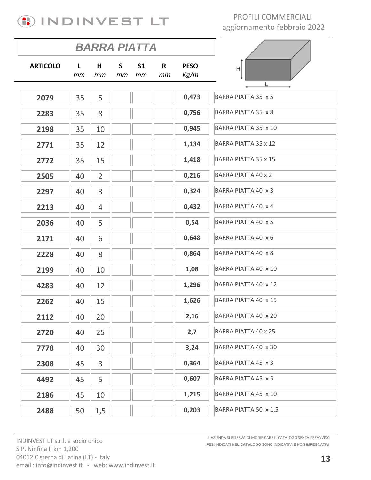

|                 |          |                |                    | <b>BARRA PIATTA</b>  |                    |                     | $\hspace{0.05cm}$           |
|-----------------|----------|----------------|--------------------|----------------------|--------------------|---------------------|-----------------------------|
| <b>ARTICOLO</b> | L.<br>тm | H<br>тm        | $\mathsf{S}$<br>тm | S <sub>1</sub><br>тm | $\mathsf{R}$<br>mm | <b>PESO</b><br>Kg/m | Η                           |
| 2079            | 35       | 5              |                    |                      |                    | 0,473               | BARRA PIATTA 35 x 5         |
| 2283            | 35       | 8              |                    |                      |                    | 0,756               | BARRA PIATTA 35 x 8         |
| 2198            | 35       | 10             |                    |                      |                    | 0,945               | BARRA PIATTA 35 x 10        |
| 2771            | 35       | 12             |                    |                      |                    | 1,134               | <b>BARRA PIATTA 35 x 12</b> |
| 2772            | 35       | 15             |                    |                      |                    | 1,418               | <b>BARRA PIATTA 35 x 15</b> |
| 2505            | 40       | $\overline{2}$ |                    |                      |                    | 0,216               | <b>BARRA PIATTA 40 x 2</b>  |
| 2297            | 40       | 3              |                    |                      |                    | 0,324               | BARRA PIATTA 40 x 3         |
| 2213            | 40       | $\overline{4}$ |                    |                      |                    | 0,432               | BARRA PIATTA 40 x 4         |
| 2036            | 40       | 5              |                    |                      |                    | 0,54                | BARRA PIATTA 40 x 5         |
| 2171            | 40       | 6              |                    |                      |                    | 0,648               | BARRA PIATTA 40 x 6         |
| 2228            | 40       | 8              |                    |                      |                    | 0,864               | BARRA PIATTA 40 x 8         |
| 2199            | 40       | 10             |                    |                      |                    | 1,08                | BARRA PIATTA 40 x 10        |
| 4283            | 40       | 12             |                    |                      |                    | 1,296               | BARRA PIATTA 40 x 12        |
| 2262            | 40       | 15             |                    |                      |                    | 1,626               | BARRA PIATTA 40 x 15        |
| 2112            | 40       | 20             |                    |                      |                    | 2,16                | BARRA PIATTA 40 x 20        |
| 2720            | 40       | 25             |                    |                      |                    | 2,7                 | BARRA PIATTA 40 x 25        |
| 7778            | 40       | 30             |                    |                      |                    | 3,24                | BARRA PIATTA 40 x 30        |
| 2308            | 45       | 3              |                    |                      |                    | 0,364               | BARRA PIATTA 45 x 3         |
| 4492            | 45       | 5              |                    |                      |                    | 0,607               | BARRA PIATTA 45 x 5         |
| 2186            | 45       | 10             |                    |                      |                    | 1,215               | BARRA PIATTA 45 x 10        |
| 2488            | 50       | 1,5            |                    |                      |                    | 0,203               | BARRA PIATTA 50 x 1,5       |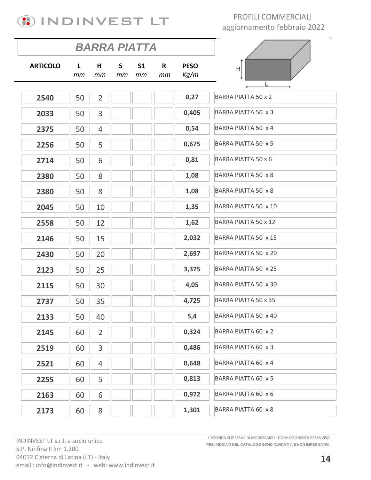

|                 |                    | <b>BARRA PIATTA</b> |                    |                      |         |                     |                            |
|-----------------|--------------------|---------------------|--------------------|----------------------|---------|---------------------|----------------------------|
| <b>ARTICOLO</b> | $\mathbf{L}$<br>mm | H<br>mm             | $\mathsf{S}$<br>mт | S <sub>1</sub><br>mm | R<br>mm | <b>PESO</b><br>Kg/m | H<br>L                     |
| 2540            | 50                 | $\overline{2}$      |                    |                      |         | 0,27                | <b>BARRA PIATTA 50 x 2</b> |
| 2033            | 50                 | 3                   |                    |                      |         | 0,405               | BARRA PIATTA 50 x 3        |
| 2375            | 50                 | 4                   |                    |                      |         | 0,54                | BARRA PIATTA 50 x 4        |
| 2256            | 50                 | 5                   |                    |                      |         | 0,675               | BARRA PIATTA 50 x 5        |
| 2714            | 50                 | 6                   |                    |                      |         | 0,81                | BARRA PIATTA 50 x 6        |
| 2380            | 50                 | 8                   |                    |                      |         | 1,08                | BARRA PIATTA 50 x 8        |
| 2380            | 50                 | 8                   |                    |                      |         | 1,08                | BARRA PIATTA 50 x 8        |
| 2045            | 50                 | 10                  |                    |                      |         | 1,35                | BARRA PIATTA 50 x 10       |
| 2558            | 50                 | 12                  |                    |                      |         | 1,62                | BARRA PIATTA 50 x 12       |
| 2146            | 50                 | 15                  |                    |                      |         | 2,032               | BARRA PIATTA 50 x 15       |
| 2430            | 50                 | 20                  |                    |                      |         | 2,697               | BARRA PIATTA 50 x 20       |
| 2123            | 50                 | 25                  |                    |                      |         | 3,375               | BARRA PIATTA 50 x 25       |
| 2115            | 50                 | 30                  |                    |                      |         | 4,05                | BARRA PIATTA 50 x 30       |
| 2737            | 50                 | 35                  |                    |                      |         | 4,725               | BARRA PIATTA 50 x 35       |
| 2133            | 50                 | 40                  |                    |                      |         | 5,4                 | BARRA PIATTA 50 x 40       |
| 2145            | 60                 | $\overline{2}$      |                    |                      |         | 0,324               | BARRA PIATTA 60 x 2        |
| 2519            | 60                 | 3                   |                    |                      |         | 0,486               | BARRA PIATTA 60 x 3        |
| 2521            | 60                 | 4                   |                    |                      |         | 0,648               | BARRA PIATTA 60 x 4        |
| 2255            | 60                 | 5                   |                    |                      |         | 0,813               | BARRA PIATTA 60 x 5        |
| 2163            | 60                 | 6                   |                    |                      |         | 0,972               | BARRA PIATTA 60 x 6        |
| 2173            | 60                 | 8                   |                    |                      |         | 1,301               | BARRA PIATTA 60 x 8        |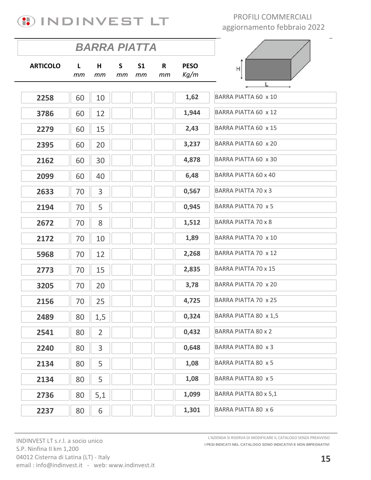

|                 |          | BARRA PIATTA   |         |                      |                    |                     |                             |
|-----------------|----------|----------------|---------|----------------------|--------------------|---------------------|-----------------------------|
| <b>ARTICOLO</b> | L.<br>mm | H<br>mт        | S<br>mт | S <sub>1</sub><br>mm | $\mathsf{R}$<br>mm | <b>PESO</b><br>Kg/m | Н                           |
| 2258            | 60       | 10             |         |                      |                    | 1,62                | BARRA PIATTA 60 x 10        |
| 3786            | 60       | 12             |         |                      |                    | 1,944               | BARRA PIATTA 60 x 12        |
| 2279            | 60       | 15             |         |                      |                    | 2,43                | BARRA PIATTA 60 x 15        |
| 2395            | 60       | 20             |         |                      |                    | 3,237               | BARRA PIATTA 60 x 20        |
| 2162            | 60       | 30             |         |                      |                    | 4,878               | BARRA PIATTA 60 x 30        |
| 2099            | 60       | 40             |         |                      |                    | 6,48                | BARRA PIATTA 60 x 40        |
| 2633            | 70       | 3              |         |                      |                    | 0,567               | <b>BARRA PIATTA 70 x 3</b>  |
| 2194            | 70       | 5              |         |                      |                    | 0,945               | <b>BARRA PIATTA 70 x 5</b>  |
| 2672            | 70       | 8              |         |                      |                    | 1,512               | <b>BARRA PIATTA 70 x 8</b>  |
| 2172            | 70       | 10             |         |                      |                    | 1,89                | BARRA PIATTA 70 x 10        |
| 5968            | 70       | 12             |         |                      |                    | 2,268               | BARRA PIATTA 70 x 12        |
| 2773            | 70       | 15             |         |                      |                    | 2,835               | <b>BARRA PIATTA 70 x 15</b> |
| 3205            | 70       | 20             |         |                      |                    | 3,78                | BARRA PIATTA 70 x 20        |
| 2156            | 70       | 25             |         |                      |                    | 4,725               | BARRA PIATTA 70 x 25        |
| 2489            | 80       | 1,5            |         |                      |                    | 0,324               | BARRA PIATTA 80 x 1,5       |
| 2541            | 80       | $\overline{2}$ |         |                      |                    | 0,432               | <b>BARRA PIATTA 80 x 2</b>  |
| 2240            | 80       | $\mathsf{3}$   |         |                      |                    | 0,648               | BARRA PIATTA 80 x 3         |
| 2134            | 80       | 5              |         |                      |                    | 1,08                | BARRA PIATTA 80 x 5         |
| 2134            | 80       | 5              |         |                      |                    | 1,08                | BARRA PIATTA 80 x 5         |
| 2736            | 80       | 5,1            |         |                      |                    | 1,099               | BARRA PIATTA 80 x 5,1       |
| 2237            | 80       | 6              |         |                      |                    | 1,301               | BARRA PIATTA 80 x 6         |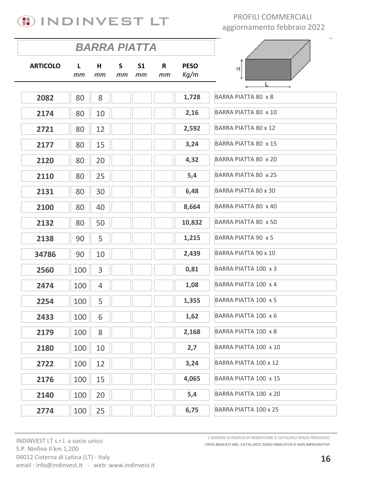

|                 |          | <b>BARRA PIATTA</b> |          |                      |         |                     |                             |
|-----------------|----------|---------------------|----------|----------------------|---------|---------------------|-----------------------------|
| <b>ARTICOLO</b> | L.<br>mm | Н<br>mm             | S.<br>mm | S <sub>1</sub><br>mm | R<br>mm | <b>PESO</b><br>Kg/m | H                           |
| 2082            | 80       | 8                   |          |                      |         | 1,728               | <b>BARRA PIATTA 80 x 8</b>  |
| 2174            | 80       | 10                  |          |                      |         | 2,16                | BARRA PIATTA 80 x 10        |
|                 |          |                     |          |                      |         | 2,592               | <b>BARRA PIATTA 80 x 12</b> |
| 2721            | 80       | 12                  |          |                      |         |                     |                             |
| 2177            | 80       | 15                  |          |                      |         | 3,24                | BARRA PIATTA 80 x 15        |
| 2120            | 80       | 20                  |          |                      |         | 4,32                | BARRA PIATTA 80 x 20        |
| 2110            | 80       | 25                  |          |                      |         | 5,4                 | BARRA PIATTA 80 x 25        |
| 2131            | 80       | 30                  |          |                      |         | 6,48                | BARRA PIATTA 80 x 30        |
| 2100            | 80       | 40                  |          |                      |         | 8,664               | BARRA PIATTA 80 x 40        |
| 2132            | 80       | 50                  |          |                      |         | 10,832              | BARRA PIATTA 80 x 50        |
| 2138            | 90       | 5                   |          |                      |         | 1,215               | BARRA PIATTA 90 x 5         |
| 34786           | 90       | 10                  |          |                      |         | 2,439               | <b>BARRA PIATTA 90 x 10</b> |
| 2560            | 100      | 3                   |          |                      |         | 0,81                | BARRA PIATTA 100 x 3        |
| 2474            | 100      | $\overline{4}$      |          |                      |         | 1,08                | BARRA PIATTA 100 x 4        |
| 2254            | 100      | 5                   |          |                      |         | 1,355               | BARRA PIATTA 100 x 5        |
| 2433            | 100      | 6                   |          |                      |         | 1,62                | BARRA PIATTA 100 x 6        |
| 2179            | 100      | 8                   |          |                      |         | 2,168               | BARRA PIATTA 100 x 8        |
| 2180            | 100      | 10                  |          |                      |         | 2,7                 | BARRA PIATTA 100 x 10       |
| 2722            | 100      | 12                  |          |                      |         | 3,24                | BARRA PIATTA 100 x 12       |
| 2176            | 100      | 15                  |          |                      |         | 4,065               | BARRA PIATTA 100 x 15       |
| 2140            | 100      | 20                  |          |                      |         | 5,4                 | BARRA PIATTA 100 x 20       |
| 2774            | 100      | 25                  |          |                      |         | 6,75                | BARRA PIATTA 100 x 25       |

INDINVEST LT s.r.l. a socio unico S.P. Ninfina II km 1,200 04012 Cisterna di Latina (LT) - Italy email : info@indinvest.it - web: www.indinvest.it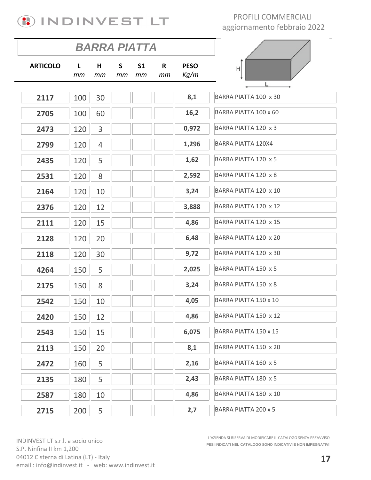

|                 |         | <b>BARRA PIATTA</b> |                    |                      |                    |                     |                           |
|-----------------|---------|---------------------|--------------------|----------------------|--------------------|---------------------|---------------------------|
| <b>ARTICOLO</b> | L<br>mm | H<br>mm             | $\mathsf{S}$<br>тm | S <sub>1</sub><br>mm | $\mathsf{R}$<br>mm | <b>PESO</b><br>Kg/m | Η                         |
| 2117            | 100     | 30                  |                    |                      |                    | 8,1                 | BARRA PIATTA 100 x 30     |
| 2705            | 100     | 60                  |                    |                      |                    | 16,2                | BARRA PIATTA 100 x 60     |
| 2473            | 120     | 3                   |                    |                      |                    | 0,972               | BARRA PIATTA 120 x 3      |
| 2799            | 120     | $\overline{4}$      |                    |                      |                    | 1,296               | <b>BARRA PIATTA 120X4</b> |
| 2435            | 120     | 5                   |                    |                      |                    | 1,62                | BARRA PIATTA 120 x 5      |
| 2531            | 120     | 8                   |                    |                      |                    | 2,592               | BARRA PIATTA 120 x 8      |
| 2164            | 120     | 10                  |                    |                      |                    | 3,24                | BARRA PIATTA 120 x 10     |
| 2376            | 120     | 12                  |                    |                      |                    | 3,888               | BARRA PIATTA 120 x 12     |
| 2111            | 120     | 15                  |                    |                      |                    | 4,86                | BARRA PIATTA 120 x 15     |
| 2128            | 120     | 20                  |                    |                      |                    | 6,48                | BARRA PIATTA 120 x 20     |
| 2118            | 120     | 30                  |                    |                      |                    | 9,72                | BARRA PIATTA 120 x 30     |
| 4264            | 150     | 5                   |                    |                      |                    | 2,025               | BARRA PIATTA 150 x 5      |
| 2175            | 150     | 8                   |                    |                      |                    | 3,24                | BARRA PIATTA 150 x 8      |
| 2542            | 150     | 10                  |                    |                      |                    | 4,05                | BARRA PIATTA 150 x 10     |
| 2420            | 150     | 12                  |                    |                      |                    | 4,86                | BARRA PIATTA 150 x 12     |
| 2543            | 150     | 15                  |                    |                      |                    | 6,075               | BARRA PIATTA 150 x 15     |
| 2113            | 150     | 20                  |                    |                      |                    | 8,1                 | BARRA PIATTA 150 x 20     |
| 2472            | 160     | 5                   |                    |                      |                    | 2,16                | BARRA PIATTA 160 x 5      |
| 2135            | 180     | 5                   |                    |                      |                    | 2,43                | BARRA PIATTA 180 x 5      |
| 2587            | 180     | 10                  |                    |                      |                    | 4,86                | BARRA PIATTA 180 x 10     |
| 2715            | 200     | 5                   |                    |                      |                    | 2,7                 | BARRA PIATTA 200 x 5      |

INDINVEST LT s.r.l. a socio unico S.P. Ninfina II km 1,200 04012 Cisterna di Latina (LT) - Italy email: info@indinvest.it - web: www.indinvest.it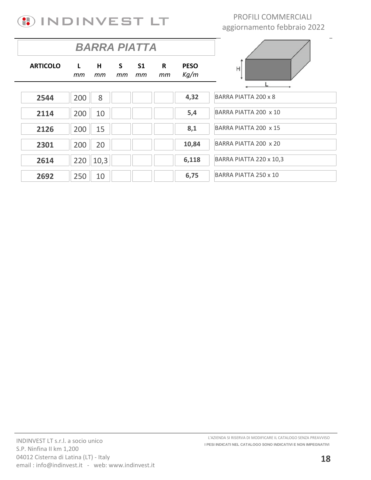

|                 | <b>BARRA PIATTA</b> |         |                    |                 |         |                     |                         |
|-----------------|---------------------|---------|--------------------|-----------------|---------|---------------------|-------------------------|
| <b>ARTICOLO</b> | $\mathbf{L}$<br>тm  | H<br>тm | $\mathsf{S}$<br>тm | <b>S1</b><br>тm | R<br>тm | <b>PESO</b><br>Kg/m | H                       |
|                 |                     |         |                    |                 |         |                     |                         |
| 2544            | 200                 | 8       |                    |                 |         | 4,32                | BARRA PIATTA 200 x 8    |
| 2114            | 200                 | 10      |                    |                 |         | 5,4                 | BARRA PIATTA 200 x 10   |
| 2126            | 200                 | 15      |                    |                 |         | 8,1                 | BARRA PIATTA 200 x 15   |
| 2301            | 200                 | 20      |                    |                 |         | 10,84               | BARRA PIATTA 200 x 20   |
| 2614            | 220                 | 10,3    |                    |                 |         | 6,118               | BARRA PIATTA 220 x 10,3 |
| 2692            | 250                 | 10      |                    |                 |         | 6,75                | BARRA PIATTA 250 x 10   |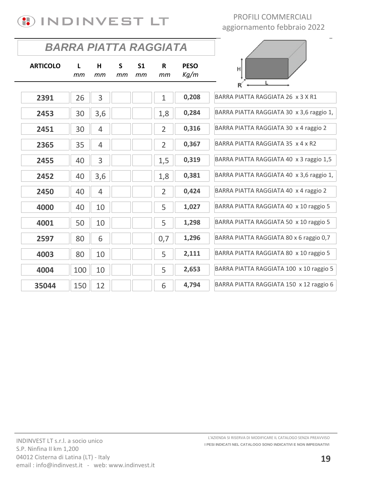

| BARRA PIATTA RAGGIATA |         |                |         |                      |                |                     |                                          |
|-----------------------|---------|----------------|---------|----------------------|----------------|---------------------|------------------------------------------|
| <b>ARTICOLO</b>       | L<br>mm | н<br>mm        | S<br>mm | S <sub>1</sub><br>mm | R<br>mm        | <b>PESO</b><br>Kg/m | H                                        |
|                       |         |                |         |                      |                |                     |                                          |
| 2391                  | 26      | 3              |         |                      | $\mathbf{1}$   | 0,208               | BARRA PIATTA RAGGIATA 26 x 3 X R1        |
| 2453                  | 30      | 3,6            |         |                      | 1,8            | 0,284               | BARRA PIATTA RAGGIATA 30 x 3,6 raggio 1, |
| 2451                  | 30      | 4              |         |                      | $\overline{2}$ | 0,316               | BARRA PIATTA RAGGIATA 30 x 4 raggio 2    |
| 2365                  | 35      | 4              |         |                      | $\overline{2}$ | 0,367               | BARRA PIATTA RAGGIATA 35 x 4 x R2        |
| 2455                  | 40      | 3              |         |                      | 1,5            | 0,319               | BARRA PIATTA RAGGIATA 40 x 3 raggio 1,5  |
| 2452                  | 40      | 3,6            |         |                      | 1,8            | 0,381               | BARRA PIATTA RAGGIATA 40 x 3,6 raggio 1, |
| 2450                  | 40      | $\overline{4}$ |         |                      | $\overline{2}$ | 0,424               | BARRA PIATTA RAGGIATA 40 x 4 raggio 2    |
| 4000                  | 40      | 10             |         |                      | 5              | 1,027               | BARRA PIATTA RAGGIATA 40 x 10 raggio 5   |
| 4001                  | 50      | 10             |         |                      | 5              | 1,298               | BARRA PIATTA RAGGIATA 50 x 10 raggio 5   |
| 2597                  | 80      | 6              |         |                      | 0,7            | 1,296               | BARRA PIATTA RAGGIATA 80 x 6 raggio 0,7  |
| 4003                  | 80      | 10             |         |                      | 5              | 2,111               | BARRA PIATTA RAGGIATA 80 x 10 raggio 5   |
| 4004                  | 100     | 10             |         |                      | 5              | 2,653               | BARRA PIATTA RAGGIATA 100 x 10 raggio 5  |
| 35044                 | 150     | 12             |         |                      | 6              | 4,794               | BARRA PIATTA RAGGIATA 150 x 12 raggio 6  |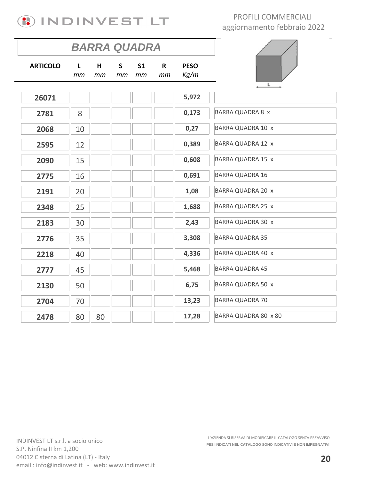

|                 | <b>BARRA QUADRA</b> |         |         |                      |                    |                     |                          |
|-----------------|---------------------|---------|---------|----------------------|--------------------|---------------------|--------------------------|
| <b>ARTICOLO</b> | L<br>mm             | H<br>mm | S<br>mm | S <sub>1</sub><br>mm | $\mathsf{R}$<br>mm | <b>PESO</b><br>Kg/m |                          |
| 26071           |                     |         |         |                      |                    | 5,972               |                          |
| 2781            | 8                   |         |         |                      |                    | 0,173               | <b>BARRA QUADRA 8 x</b>  |
| 2068            | 10                  |         |         |                      |                    | 0,27                | <b>BARRA QUADRA 10 x</b> |
| 2595            | 12                  |         |         |                      |                    | 0,389               | BARRA QUADRA 12 x        |
| 2090            | 15                  |         |         |                      |                    | 0,608               | <b>BARRA QUADRA 15 x</b> |
| 2775            | 16                  |         |         |                      |                    | 0,691               | <b>BARRA QUADRA 16</b>   |
| 2191            | 20                  |         |         |                      |                    | 1,08                | <b>BARRA QUADRA 20 x</b> |
| 2348            | 25                  |         |         |                      |                    | 1,688               | <b>BARRA QUADRA 25 x</b> |
| 2183            | 30                  |         |         |                      |                    | 2,43                | <b>BARRA QUADRA 30 x</b> |
| 2776            | 35                  |         |         |                      |                    | 3,308               | <b>BARRA QUADRA 35</b>   |
| 2218            | 40                  |         |         |                      |                    | 4,336               | BARRA QUADRA 40 x        |
| 2777            | 45                  |         |         |                      |                    | 5,468               | <b>BARRA QUADRA 45</b>   |
| 2130            | 50                  |         |         |                      |                    | 6,75                | <b>BARRA QUADRA 50 x</b> |
| 2704            | 70                  |         |         |                      |                    | 13,23               | <b>BARRA QUADRA 70</b>   |
| 2478            | 80                  | 80      |         |                      |                    | 17,28               | BARRA QUADRA 80 x 80     |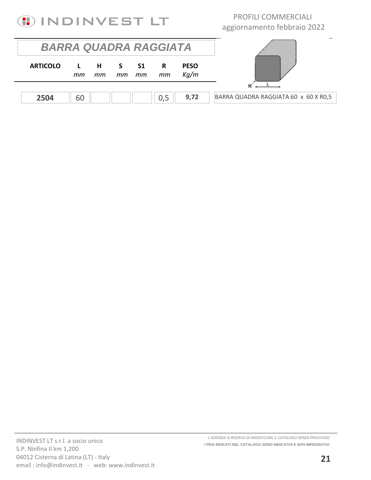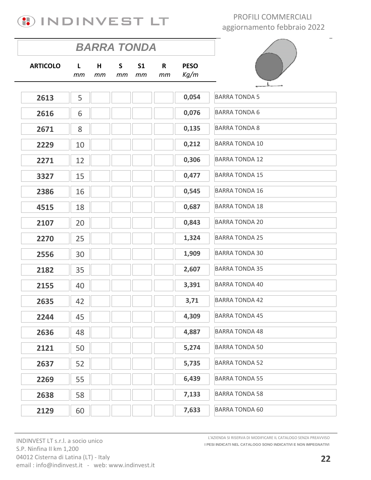

|                 | <b>BARRA TONDA</b> |         |         |                      |         |                     |                       |  |
|-----------------|--------------------|---------|---------|----------------------|---------|---------------------|-----------------------|--|
| <b>ARTICOLO</b> | $\mathsf{L}$<br>тm | H<br>mт | S<br>mm | S <sub>1</sub><br>mm | R<br>mm | <b>PESO</b><br>Kg/m |                       |  |
| 2613            | 5                  |         |         |                      |         | 0,054               | <b>BARRA TONDA 5</b>  |  |
| 2616            | 6                  |         |         |                      |         | 0,076               | <b>BARRA TONDA 6</b>  |  |
| 2671            | 8                  |         |         |                      |         | 0,135               | <b>BARRA TONDA 8</b>  |  |
| 2229            | 10                 |         |         |                      |         | 0,212               | <b>BARRA TONDA 10</b> |  |
| 2271            | 12                 |         |         |                      |         | 0,306               | <b>BARRA TONDA 12</b> |  |
| 3327            | 15                 |         |         |                      |         | 0,477               | <b>BARRA TONDA 15</b> |  |
| 2386            | 16                 |         |         |                      |         | 0,545               | <b>BARRA TONDA 16</b> |  |
| 4515            | 18                 |         |         |                      |         | 0,687               | <b>BARRA TONDA 18</b> |  |
| 2107            | 20                 |         |         |                      |         | 0,843               | <b>BARRA TONDA 20</b> |  |
| 2270            | 25                 |         |         |                      |         | 1,324               | <b>BARRA TONDA 25</b> |  |
| 2556            | 30                 |         |         |                      |         | 1,909               | <b>BARRA TONDA 30</b> |  |
| 2182            | 35                 |         |         |                      |         | 2,607               | <b>BARRA TONDA 35</b> |  |
| 2155            | 40                 |         |         |                      |         | 3,391               | <b>BARRA TONDA 40</b> |  |
| 2635            | 42                 |         |         |                      |         | 3,71                | <b>BARRA TONDA 42</b> |  |
| 2244            | 45                 |         |         |                      |         | 4,309               | <b>BARRA TONDA 45</b> |  |
| 2636            | 48                 |         |         |                      |         | 4,887               | <b>BARRA TONDA 48</b> |  |
| 2121            | 50                 |         |         |                      |         | 5,274               | <b>BARRA TONDA 50</b> |  |
| 2637            | 52                 |         |         |                      |         | 5,735               | <b>BARRA TONDA 52</b> |  |
| 2269            | 55                 |         |         |                      |         | 6,439               | <b>BARRA TONDA 55</b> |  |
| 2638            | 58                 |         |         |                      |         | 7,133               | <b>BARRA TONDA 58</b> |  |
| 2129            | 60                 |         |         |                      |         | 7,633               | <b>BARRA TONDA 60</b> |  |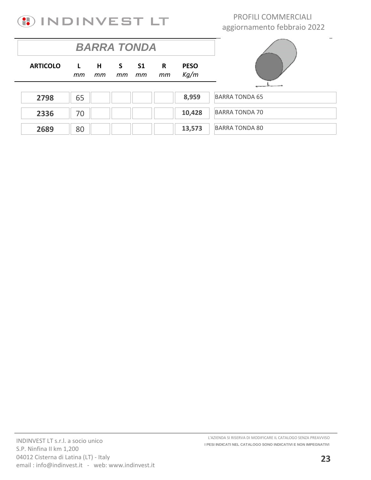

|                 |                    | <b>BARRA TONDA</b> |          |                 |         |                     |                       |
|-----------------|--------------------|--------------------|----------|-----------------|---------|---------------------|-----------------------|
| <b>ARTICOLO</b> | $\mathsf{L}$<br>тm | $H$ and $H$<br>тm  | S.<br>mm | <b>S1</b><br>тm | R<br>mm | <b>PESO</b><br>Kg/m |                       |
|                 |                    |                    |          |                 |         |                     |                       |
| 2798            | 65                 |                    |          |                 |         | 8,959               | <b>BARRA TONDA 65</b> |
| 2336            | 70                 |                    |          |                 |         | 10,428              | <b>BARRA TONDA 70</b> |
| 2689            | 80                 |                    |          |                 |         | 13,573              | <b>BARRA TONDA 80</b> |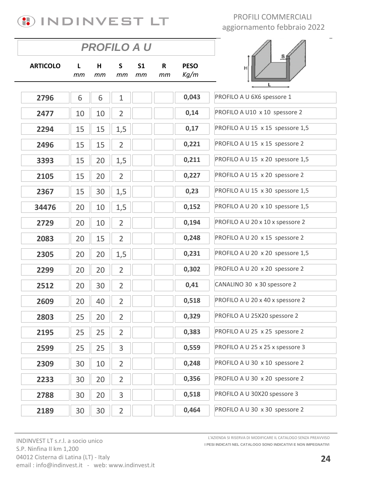

|                 |         | <b>PROFILO A U</b> |                |                      |         |                     |                                  |
|-----------------|---------|--------------------|----------------|----------------------|---------|---------------------|----------------------------------|
| <b>ARTICOLO</b> | L<br>тm | н<br>тm            | S<br>mm        | S <sub>1</sub><br>mm | R<br>mm | <b>PESO</b><br>Kg/m | s<br>H                           |
| 2796            | 6       | 6                  | $\mathbf{1}$   |                      |         | 0,043               | PROFILO A U 6X6 spessore 1       |
| 2477            | 10      | 10                 | $\overline{2}$ |                      |         | 0,14                | PROFILO A U10 x 10 spessore 2    |
| 2294            | 15      | 15                 | 1,5            |                      |         | 0,17                | PROFILO A U 15 x 15 spessore 1,5 |
| 2496            | 15      | 15                 | $\overline{2}$ |                      |         | 0,221               | PROFILO A U 15 x 15 spessore 2   |
| 3393            | 15      | 20                 | 1,5            |                      |         | 0,211               | PROFILO A U 15 x 20 spessore 1,5 |
| 2105            | 15      | 20                 | $\overline{2}$ |                      |         | 0,227               | PROFILO A U 15 x 20 spessore 2   |
| 2367            | 15      | 30                 | 1,5            |                      |         | 0,23                | PROFILO A U 15 x 30 spessore 1,5 |
| 34476           | 20      | 10                 | 1,5            |                      |         | 0,152               | PROFILO A U 20 x 10 spessore 1,5 |
| 2729            | 20      | 10                 | $\overline{2}$ |                      |         | 0,194               | PROFILO A U 20 x 10 x spessore 2 |
| 2083            | 20      | 15                 | $\overline{2}$ |                      |         | 0,248               | PROFILO A U 20 x 15 spessore 2   |
| 2305            | 20      | 20                 | 1,5            |                      |         | 0,231               | PROFILO A U 20 x 20 spessore 1,5 |
| 2299            | 20      | 20                 | $\overline{2}$ |                      |         | 0,302               | PROFILO A U 20 x 20 spessore 2   |
| 2512            | 20      | 30                 | $\overline{2}$ |                      |         | 0,41                | CANALINO 30 x 30 spessore 2      |
| 2609            | 20      | 40                 | $\overline{2}$ |                      |         | 0,518               | PROFILO A U 20 x 40 x spessore 2 |
| 2803            | 25      | 20                 | $\overline{2}$ |                      |         | 0,329               | PROFILO A U 25X20 spessore 2     |
| 2195            | 25      | 25                 | $\overline{2}$ |                      |         | 0,383               | PROFILO A U 25 x 25 spessore 2   |
| 2599            | 25      | 25                 | 3              |                      |         | 0,559               | PROFILO A U 25 x 25 x spessore 3 |
| 2309            | 30      | 10                 | $\overline{2}$ |                      |         | 0,248               | PROFILO A U 30 x 10 spessore 2   |
| 2233            | 30      | 20                 | $\overline{2}$ |                      |         | 0,356               | PROFILO A U 30 x 20 spessore 2   |
| 2788            | 30      | 20                 | 3              |                      |         | 0,518               | PROFILO A U 30X20 spessore 3     |
| 2189            | 30      | 30                 | $\overline{2}$ |                      |         | 0,464               | PROFILO A U 30 x 30 spessore 2   |

INDINVEST LT s.r.l. a socio unico S.P. Ninfina II km 1,200 04012 Cisterna di Latina (LT) - Italy email: info@indinvest.it - web: www.indinvest.it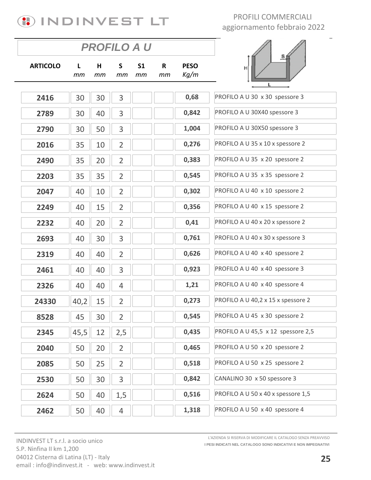

|                 |         | <b>PROFILO A U</b> |                |                      |         |                     |                                    |
|-----------------|---------|--------------------|----------------|----------------------|---------|---------------------|------------------------------------|
| <b>ARTICOLO</b> | L<br>тm | н<br>mm            | S<br>mm        | S <sub>1</sub><br>mm | R<br>mm | <b>PESO</b><br>Kg/m | $\overline{\mathbf{e}}$<br>н       |
|                 |         |                    |                |                      |         |                     |                                    |
| 2416            | 30      | 30                 | 3              |                      |         | 0,68                | PROFILO A U 30 x 30 spessore 3     |
| 2789            | 30      | 40                 | 3              |                      |         | 0,842               | PROFILO A U 30X40 spessore 3       |
| 2790            | 30      | 50                 | 3              |                      |         | 1,004               | PROFILO A U 30X50 spessore 3       |
| 2016            | 35      | 10                 | $\overline{2}$ |                      |         | 0,276               | PROFILO A U 35 x 10 x spessore 2   |
| 2490            | 35      | 20                 | $\overline{2}$ |                      |         | 0,383               | PROFILO A U 35 x 20 spessore 2     |
| 2203            | 35      | 35                 | $\overline{2}$ |                      |         | 0,545               | PROFILO A U 35 x 35 spessore 2     |
| 2047            | 40      | 10                 | $\overline{2}$ |                      |         | 0,302               | PROFILO A U 40 x 10 spessore 2     |
| 2249            | 40      | 15                 | $\overline{2}$ |                      |         | 0,356               | PROFILO A U 40 x 15 spessore 2     |
| 2232            | 40      | 20                 | $\overline{2}$ |                      |         | 0,41                | PROFILO A U 40 x 20 x spessore 2   |
| 2693            | 40      | 30                 | 3              |                      |         | 0,761               | PROFILO A U 40 x 30 x spessore 3   |
| 2319            | 40      | 40                 | $\overline{2}$ |                      |         | 0,626               | PROFILO A U 40 x 40 spessore 2     |
| 2461            | 40      | 40                 | 3              |                      |         | 0,923               | PROFILO A U 40 x 40 spessore 3     |
| 2326            | 40      | 40                 | $\overline{4}$ |                      |         | 1,21                | PROFILO A U 40 x 40 spessore 4     |
| 24330           | 40,2    | 15                 | $\overline{2}$ |                      |         | 0,273               | PROFILO A U 40,2 x 15 x spessore 2 |
| 8528            | 45      | 30                 | $\overline{2}$ |                      |         | 0,545               | PROFILO A U 45 x 30 spessore 2     |
| 2345            | 45,5    | 12                 | 2,5            |                      |         | 0,435               | PROFILO A U 45,5 x 12 spessore 2,5 |
| 2040            | 50      | 20                 | $\overline{2}$ |                      |         | 0,465               | PROFILO A U 50 x 20 spessore 2     |
| 2085            | 50      | 25                 | $\overline{2}$ |                      |         | 0,518               | PROFILO A U 50 x 25 spessore 2     |
| 2530            | 50      | 30                 | 3              |                      |         | 0,842               | CANALINO 30 x 50 spessore 3        |
| 2624            | 50      | 40                 | 1,5            |                      |         | 0,516               | PROFILO A U 50 x 40 x spessore 1,5 |
| 2462            | 50      | 40                 | 4              |                      |         | 1,318               | PROFILO A U 50 x 40 spessore 4     |

INDINVEST LT s.r.l. a socio unico S.P. Ninfina II km 1,200 04012 Cisterna di Latina (LT) - Italy email: info@indinvest.it - web: www.indinvest.it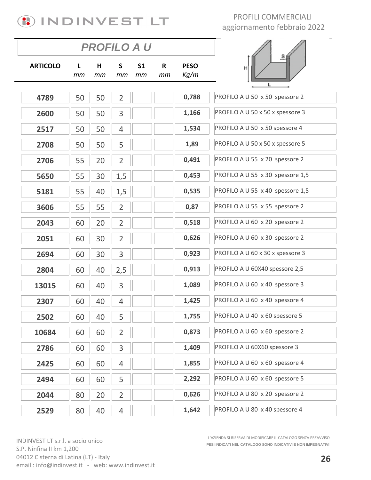

|                 |         |         | PROFILO A U    |                      |         |                     |                                  |
|-----------------|---------|---------|----------------|----------------------|---------|---------------------|----------------------------------|
| <b>ARTICOLO</b> | L<br>mm | н<br>mm | S<br>mm        | S <sub>1</sub><br>mm | R<br>mm | <b>PESO</b><br>Kg/m | $\overline{\mathbf{e}}$<br>H     |
|                 |         |         |                |                      |         |                     |                                  |
| 4789            | 50      | 50      | $\overline{2}$ |                      |         | 0,788               | PROFILO A U 50 x 50 spessore 2   |
| 2600            | 50      | 50      | 3              |                      |         | 1,166               | PROFILO A U 50 x 50 x spessore 3 |
| 2517            | 50      | 50      | $\overline{4}$ |                      |         | 1,534               | PROFILO A U 50 x 50 spessore 4   |
| 2708            | 50      | 50      | 5              |                      |         | 1,89                | PROFILO A U 50 x 50 x spessore 5 |
| 2706            | 55      | 20      | $\overline{2}$ |                      |         | 0,491               | PROFILO A U 55 x 20 spessore 2   |
| 5650            | 55      | 30      | 1,5            |                      |         | 0,453               | PROFILO A U 55 x 30 spessore 1,5 |
| 5181            | 55      | 40      | 1,5            |                      |         | 0,535               | PROFILO A U 55 x 40 spessore 1,5 |
| 3606            | 55      | 55      | $\overline{2}$ |                      |         | 0,87                | PROFILO A U 55 x 55 spessore 2   |
| 2043            | 60      | 20      | $\overline{2}$ |                      |         | 0,518               | PROFILO A U 60 x 20 spessore 2   |
| 2051            | 60      | 30      | $\overline{2}$ |                      |         | 0,626               | PROFILO A U 60 x 30 spessore 2   |
| 2694            | 60      | 30      | 3              |                      |         | 0,923               | PROFILO A U 60 x 30 x spessore 3 |
| 2804            | 60      | 40      | 2,5            |                      |         | 0,913               | PROFILO A U 60X40 spessore 2,5   |
| 13015           | 60      | 40      | 3              |                      |         | 1,089               | PROFILO A U 60 x 40 spessore 3   |
| 2307            | 60      | 40      | $\overline{4}$ |                      |         | 1,425               | PROFILO A U 60 x 40 spessore 4   |
| 2502            | 60      | 40      | 5              |                      |         | 1,755               | PROFILO A U 40 x 60 spessore 5   |
| 10684           | 60      | 60      | $\overline{2}$ |                      |         | 0,873               | PROFILO A U 60 x 60 spessore 2   |
| 2786            | 60      | 60      | 3              |                      |         | 1,409               | PROFILO A U 60X60 spessore 3     |
| 2425            | 60      | 60      | $\overline{4}$ |                      |         | 1,855               | PROFILO A U 60 x 60 spessore 4   |
| 2494            | 60      | 60      | 5              |                      |         | 2,292               | PROFILO A U 60 x 60 spessore 5   |
| 2044            | 80      | 20      | $\overline{2}$ |                      |         | 0,626               | PROFILO A U 80 x 20 spessore 2   |
| 2529            | 80      | 40      | 4              |                      |         | 1,642               | PROFILO A U 80 x 40 spessore 4   |

INDINVEST LT s.r.l. a socio unico S.P. Ninfina II km 1,200 04012 Cisterna di Latina (LT) - Italy email: info@indinvest.it - web: www.indinvest.it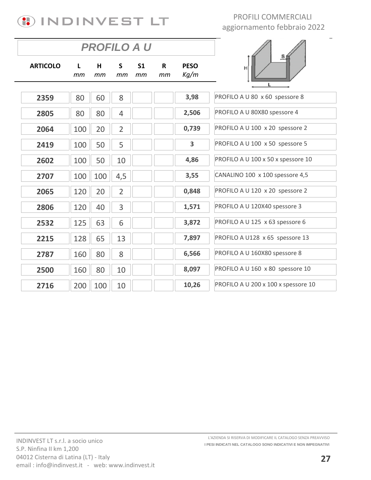

|                 |         | <b>PROFILO A U</b> |                    |                      |         |                     |                                     |
|-----------------|---------|--------------------|--------------------|----------------------|---------|---------------------|-------------------------------------|
| <b>ARTICOLO</b> | L<br>mm | H<br>mm            | $\mathsf{S}$<br>mm | S <sub>1</sub><br>mm | R<br>mm | <b>PESO</b><br>Kg/m | $\overline{\mathbf{e}}$<br>H        |
| 2359            | 80      | 60                 | 8                  |                      |         | 3,98                | PROFILO A U 80 x 60 spessore 8      |
| 2805            | 80      | 80                 | $\overline{4}$     |                      |         | 2,506               | PROFILO A U 80X80 spessore 4        |
| 2064            | 100     | 20                 | $\overline{2}$     |                      |         | 0,739               | PROFILO A U 100 x 20 spessore 2     |
| 2419            | 100     | 50                 | 5                  |                      |         | 3                   | PROFILO A U 100 x 50 spessore 5     |
| 2602            | 100     | 50                 | 10                 |                      |         | 4,86                | PROFILO A U 100 x 50 x spessore 10  |
| 2707            | 100     | 100                | 4,5                |                      |         | 3,55                | CANALINO 100 x 100 spessore 4,5     |
| 2065            | 120     | 20                 | $\overline{2}$     |                      |         | 0,848               | PROFILO A U 120 x 20 spessore 2     |
| 2806            | 120     | 40                 | 3                  |                      |         | 1,571               | PROFILO A U 120X40 spessore 3       |
| 2532            | 125     | 63                 | 6                  |                      |         | 3,872               | PROFILO A U 125 x 63 spessore 6     |
| 2215            | 128     | 65                 | 13                 |                      |         | 7,897               | PROFILO A U128 x 65 spessore 13     |
| 2787            | 160     | 80                 | 8                  |                      |         | 6,566               | PROFILO A U 160X80 spessore 8       |
| 2500            | 160     | 80                 | 10                 |                      |         | 8,097               | PROFILO A U 160 x 80 spessore 10    |
| 2716            | 200     | 100                | 10                 |                      |         | 10,26               | PROFILO A U 200 x 100 x spessore 10 |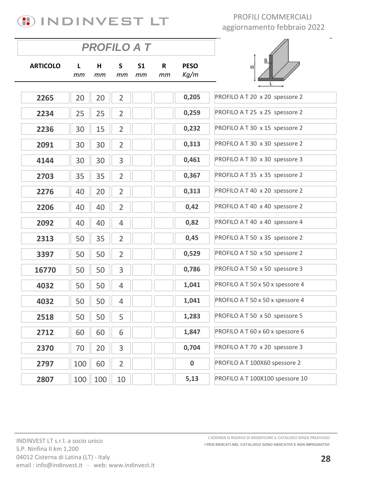

|                 |         | <b>PROFILO A T</b> |                |                      |                    |                     |                                  |
|-----------------|---------|--------------------|----------------|----------------------|--------------------|---------------------|----------------------------------|
| <b>ARTICOLO</b> | L<br>тm | н<br>тm            | S<br>тm        | S <sub>1</sub><br>тm | $\mathsf{R}$<br>mm | <b>PESO</b><br>Kg/m | н                                |
|                 |         |                    |                |                      |                    |                     |                                  |
| 2265            | 20      | 20                 | $\overline{2}$ |                      |                    | 0,205               | PROFILO A T 20 x 20 spessore 2   |
| 2234            | 25      | 25                 | $\overline{2}$ |                      |                    | 0,259               | PROFILO A T 25 x 25 spessore 2   |
| 2236            | 30      | 15                 | $\overline{2}$ |                      |                    | 0,232               | PROFILO A T 30 x 15 spessore 2   |
| 2091            | 30      | 30                 | $\overline{2}$ |                      |                    | 0,313               | PROFILO A T 30 x 30 spessore 2   |
| 4144            | 30      | 30                 | 3              |                      |                    | 0,461               | PROFILO A T 30 x 30 spessore 3   |
| 2703            | 35      | 35                 | $\overline{2}$ |                      |                    | 0,367               | PROFILO A T 35 x 35 spessore 2   |
| 2276            | 40      | 20                 | $\overline{2}$ |                      |                    | 0,313               | PROFILO A T 40 x 20 spessore 2   |
| 2206            | 40      | 40                 | $\overline{2}$ |                      |                    | 0,42                | PROFILO A T 40 x 40 spessore 2   |
| 2092            | 40      | 40                 | $\overline{4}$ |                      |                    | 0,82                | PROFILO A T 40 x 40 spessore 4   |
| 2313            | 50      | 35                 | $\overline{2}$ |                      |                    | 0,45                | PROFILO A T 50 x 35 spessore 2   |
| 3397            | 50      | 50                 | $\overline{2}$ |                      |                    | 0,529               | PROFILO A T 50 x 50 spessore 2   |
| 16770           | 50      | 50                 | 3              |                      |                    | 0,786               | PROFILO A T 50 x 50 spessore 3   |
| 4032            | 50      | 50                 | $\overline{4}$ |                      |                    | 1,041               | PROFILO A T 50 x 50 x spessore 4 |
| 4032            | 50      | 50                 | $\overline{4}$ |                      |                    | 1,041               | PROFILO A T 50 x 50 x spessore 4 |
| 2518            | 50      | 50                 | 5              |                      |                    | 1,283               | PROFILO A T 50 x 50 spessore 5   |
| 2712            | 60      | 60                 | 6              |                      |                    | 1,847               | PROFILO A T 60 x 60 x spessore 6 |
| 2370            | 70      | 20                 | 3              |                      |                    | 0,704               | PROFILO A T 70 x 20 spessore 3   |
| 2797            | 100     | 60                 | $\overline{2}$ |                      |                    | $\pmb{0}$           | PROFILO A T 100X60 spessore 2    |
| 2807            | 100     | 100                | 10             |                      |                    | 5,13                | PROFILO A T 100X100 spessore 10  |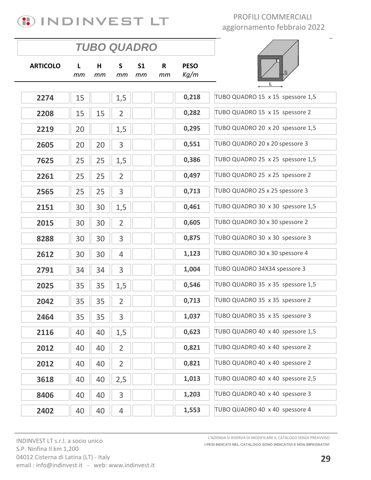

|                 |         |         | <b>TUBO QUADRO</b> |                      |                    |                     |                                  |
|-----------------|---------|---------|--------------------|----------------------|--------------------|---------------------|----------------------------------|
| <b>ARTICOLO</b> | L<br>mm | н<br>тm | $\mathsf{S}$<br>тm | S <sub>1</sub><br>mm | $\mathsf{R}$<br>mm | <b>PESO</b><br>Kg/m |                                  |
| 2274            | 15      |         | 1,5                |                      |                    | 0,218               | TUBO QUADRO 15 x 15 spessore 1,5 |
| 2208            | 15      | 15      | $\overline{2}$     |                      |                    | 0,282               | TUBO QUADRO 15 x 15 spessore 2   |
| 2219            | 20      |         | 1,5                |                      |                    | 0,295               | TUBO QUADRO 20 x 20 spessore 1,5 |
| 2605            | 20      | 20      | 3                  |                      |                    | 0,551               | TUBO QUADRO 20 x 20 spessore 3   |
| 7625            | 25      | 25      | 1,5                |                      |                    | 0,386               | TUBO QUADRO 25 x 25 spessore 1,5 |
| 2261            | 25      | 25      | $\overline{2}$     |                      |                    | 0,497               | TUBO QUADRO 25 x 25 spessore 2   |
| 2565            | 25      | 25      | 3                  |                      |                    | 0,713               | TUBO QUADRO 25 x 25 spessore 3   |
| 2151            | 30      | 30      | 1,5                |                      |                    | 0,461               | TUBO QUADRO 30 x 30 spessore 1,5 |
| 2015            | 30      | 30      | $\overline{2}$     |                      |                    | 0,605               | TUBO QUADRO 30 x 30 spessore 2   |
| 8288            | 30      | 30      | 3                  |                      |                    | 0,875               | TUBO QUADRO 30 x 30 spessore 3   |
| 2612            | 30      | 30      | 4                  |                      |                    | 1,123               | TUBO QUADRO 30 x 30 spessore 4   |
| 2791            | 34      | 34      | 3                  |                      |                    | 1,004               | TUBO QUADRO 34X34 spessore 3     |
| 2025            | 35      | 35      | 1,5                |                      |                    | 0,546               | TUBO QUADRO 35 x 35 spessore 1,5 |
| 2042            | 35      | 35      | $\overline{2}$     |                      |                    | 0,713               | TUBO QUADRO 35 x 35 spessore 2   |
| 2464            | 35      | 35      | 3                  |                      |                    | 1,037               | TUBO QUADRO 35 x 35 spessore 3   |
| 2116            | 40      | 40      | 1,5                |                      |                    | 0,623               | TUBO QUADRO 40 x 40 spessore 1,5 |
| 2012            | 40      | 40      | $\overline{2}$     |                      |                    | 0,821               | TUBO QUADRO 40 x 40 spessore 2   |
| 2012            | 40      | 40      | $\overline{2}$     |                      |                    | 0,821               | TUBO QUADRO 40 x 40 spessore 2   |
| 3618            | 40      | 40      | 2,5                |                      |                    | 1,013               | TUBO QUADRO 40 x 40 spessore 2,5 |
| 8406            | 40      | 40      | 3                  |                      |                    | 1,203               | TUBO QUADRO 40 x 40 spessore 3   |
| 2402            | 40      | 40      | $\overline{4}$     |                      |                    | 1,553               | TUBO QUADRO 40 x 40 spessore 4   |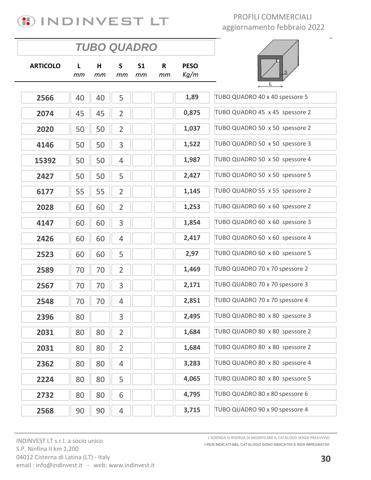

|                 |         | <b>TUBO QUADRO</b> |                |                      |         |                     |                                |
|-----------------|---------|--------------------|----------------|----------------------|---------|---------------------|--------------------------------|
| <b>ARTICOLO</b> | L<br>тm | H<br>тm            | S<br>mт        | S <sub>1</sub><br>тm | R<br>mm | <b>PESO</b><br>Kg/m |                                |
| 2566            | 40      | 40                 | 5              |                      |         | 1,89                | TUBO QUADRO 40 x 40 spessore 5 |
| 2074            | 45      | 45                 | $\overline{2}$ |                      |         | 0,875               | TUBO QUADRO 45 x 45 spessore 2 |
|                 |         |                    |                |                      |         |                     |                                |
| 2020            | 50      | 50                 | $\overline{2}$ |                      |         | 1,037               | TUBO QUADRO 50 x 50 spessore 2 |
| 4146            | 50      | 50                 | 3              |                      |         | 1,522               | TUBO QUADRO 50 x 50 spessore 3 |
| 15392           | 50      | 50                 | $\overline{4}$ |                      |         | 1,987               | TUBO QUADRO 50 x 50 spessore 4 |
| 2427            | 50      | 50                 | 5              |                      |         | 2,427               | TUBO QUADRO 50 x 50 spessore 5 |
| 6177            | 55      | 55                 | $\overline{2}$ |                      |         | 1,145               | TUBO QUADRO 55 x 55 spessore 2 |
| 2028            | 60      | 60                 | $\overline{2}$ |                      |         | 1,253               | TUBO QUADRO 60 x 60 spessore 2 |
| 4147            | 60      | 60                 | 3              |                      |         | 1,854               | TUBO QUADRO 60 x 60 spessore 3 |
| 2426            | 60      | 60                 | 4              |                      |         | 2,417               | TUBO QUADRO 60 x 60 spessore 4 |
| 2523            | 60      | 60                 | 5              |                      |         | 2,97                | TUBO QUADRO 60 x 60 spessore 5 |
| 2589            | 70      | 70                 | $\overline{2}$ |                      |         | 1,469               | TUBO QUADRO 70 x 70 spessore 2 |
| 2567            | 70      | 70                 | 3              |                      |         | 2,171               | TUBO QUADRO 70 x 70 spessore 3 |
| 2548            | 70      | 70                 | 4              |                      |         | 2,851               | TUBO QUADRO 70 x 70 spessore 4 |
| 2396            | 80      |                    | 3              |                      |         | 2,495               | TUBO QUADRO 80 x 80 spessore 3 |
| 2031            | 80      | 80                 | $\overline{2}$ |                      |         | 1,684               | TUBO QUADRO 80 x 80 spessore 2 |
| 2031            | 80      | 80                 | $\overline{2}$ |                      |         | 1,684               | TUBO QUADRO 80 x 80 spessore 2 |
| 2362            | 80      | 80                 | 4              |                      |         | 3,283               | TUBO QUADRO 80 x 80 spessore 4 |
| 2224            | 80      | 80                 | 5              |                      |         | 4,065               | TUBO QUADRO 80 x 80 spessore 5 |
| 2732            | 80      | 80                 | 6              |                      |         | 4,795               | TUBO QUADRO 80 x 80 spessore 6 |
| 2568            | 90      | 90                 | $\overline{4}$ |                      |         | 3,715               | TUBO QUADRO 90 x 90 spessore 4 |

INDINVEST LT s.r.l. a socio unico S.P. Ninfina II km 1,200 04012 Cisterna di Latina (LT) - Italy email: info@indinvest.it - web: www.indinvest.it **I PESI INDICATI NEL CATALOGO SONO INDICATIVI E NON IMPEGNATIVI** L'AZIENDA SI RISERVA DI MODIFICARE IL CATALOGO SENZA PREAVVISO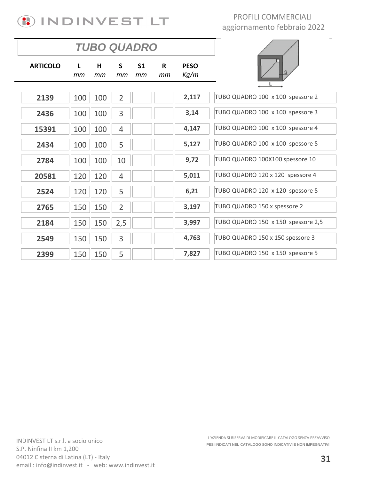

|                 |         |         |                | <b>TUBO QUADRO</b>   |                    |                     |                                    |
|-----------------|---------|---------|----------------|----------------------|--------------------|---------------------|------------------------------------|
| <b>ARTICOLO</b> | L<br>mm | H<br>тm | S.<br>тm       | S <sub>1</sub><br>тm | $\mathsf{R}$<br>тm | <b>PESO</b><br>Kg/m |                                    |
| 2139            | 100     | 100     | $\overline{2}$ |                      |                    | 2,117               | TUBO QUADRO 100 x 100 spessore 2   |
| 2436            | 100     | 100     | 3              |                      |                    | 3,14                | TUBO QUADRO 100 x 100 spessore 3   |
| 15391           | 100     | 100     | $\overline{4}$ |                      |                    | 4,147               | TUBO QUADRO 100 x 100 spessore 4   |
| 2434            | 100     | 100     | 5              |                      |                    | 5,127               | TUBO QUADRO 100 x 100 spessore 5   |
| 2784            | 100     | 100     | 10             |                      |                    | 9,72                | TUBO QUADRO 100X100 spessore 10    |
| 20581           | 120     | 120     | $\overline{4}$ |                      |                    | 5,011               | TUBO QUADRO 120 x 120 spessore 4   |
| 2524            | 120     | 120     | 5              |                      |                    | 6,21                | TUBO QUADRO 120 x 120 spessore 5   |
| 2765            | 150     | 150     | $\overline{2}$ |                      |                    | 3,197               | TUBO QUADRO 150 x spessore 2       |
| 2184            | 150     | 150     | 2,5            |                      |                    | 3,997               | TUBO QUADRO 150 x 150 spessore 2,5 |
| 2549            | 150     | 150     | 3              |                      |                    | 4,763               | TUBO QUADRO 150 x 150 spessore 3   |
| 2399            | 150     | 150     | 5              |                      |                    | 7,827               | TUBO QUADRO 150 x 150 spessore 5   |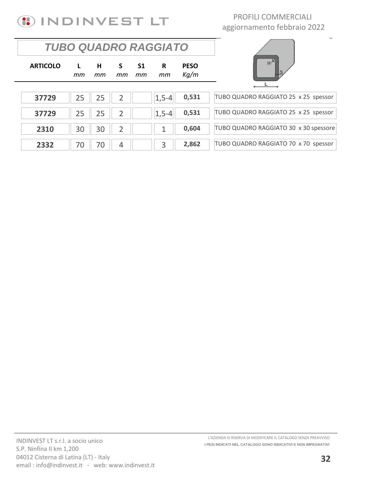

### *TUBO QUADRO RAGGIATO*

| TUBO QUADRO RAGGIATO 25 x 25 spessor  |
|---------------------------------------|
|                                       |
| TUBO QUADRO RAGGIATO 25 x 25 spessor  |
|                                       |
| TUBO QUADRO RAGGIATO 30 x 30 spessore |
|                                       |
| TUBO QUADRO RAGGIATO 70 x 70 spessor  |
|                                       |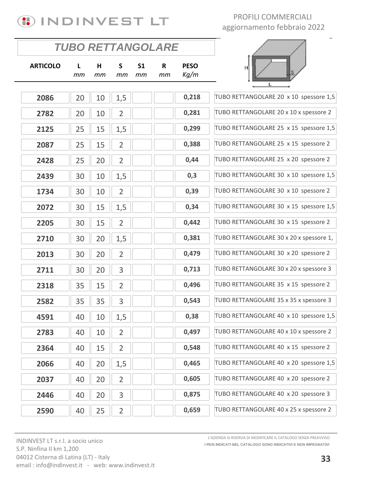

 $\overline{\phantom{a}}$ 

|                 | <b>TUBO RETTANGOLARE</b> |         |                |                      |                   |                     |                                         |
|-----------------|--------------------------|---------|----------------|----------------------|-------------------|---------------------|-----------------------------------------|
| <b>ARTICOLO</b> | L<br>mm                  | н<br>mm | S.<br>mт       | S <sub>1</sub><br>mm | $\mathbf R$<br>mm | <b>PESO</b><br>Kg/m | IS                                      |
|                 |                          |         |                |                      |                   |                     | L                                       |
| 2086            | 20                       | 10      | 1,5            |                      |                   | 0,218               | TUBO RETTANGOLARE 20 x 10 spessore 1,5  |
| 2782            | 20                       | 10      | $\overline{2}$ |                      |                   | 0,281               | TUBO RETTANGOLARE 20 x 10 x spessore 2  |
| 2125            | 25                       | 15      | 1,5            |                      |                   | 0,299               | TUBO RETTANGOLARE 25 x 15 spessore 1,5  |
| 2087            | 25                       | 15      | $\overline{2}$ |                      |                   | 0,388               | TUBO RETTANGOLARE 25 x 15 spessore 2    |
| 2428            | 25                       | 20      | $\overline{2}$ |                      |                   | 0,44                | TUBO RETTANGOLARE 25 x 20 spessore 2    |
| 2439            | 30                       | 10      | 1,5            |                      |                   | 0,3                 | TUBO RETTANGOLARE 30 x 10 spessore 1,5  |
| 1734            | 30                       | 10      | $\overline{2}$ |                      |                   | 0,39                | TUBO RETTANGOLARE 30 x 10 spessore 2    |
| 2072            | 30                       | 15      | 1,5            |                      |                   | 0,34                | TUBO RETTANGOLARE 30 x 15 spessore 1,5  |
| 2205            | 30                       | 15      | $\overline{2}$ |                      |                   | 0,442               | TUBO RETTANGOLARE 30 x 15 spessore 2    |
| 2710            | 30                       | 20      | 1,5            |                      |                   | 0,381               | TUBO RETTANGOLARE 30 x 20 x spessore 1, |
| 2013            | 30                       | 20      | $\overline{2}$ |                      |                   | 0,479               | TUBO RETTANGOLARE 30 x 20 spessore 2    |
| 2711            | 30                       | 20      | 3              |                      |                   | 0,713               | TUBO RETTANGOLARE 30 x 20 x spessore 3  |
| 2318            | 35                       | 15      | $\overline{2}$ |                      |                   | 0,496               | TUBO RETTANGOLARE 35 x 15 spessore 2    |
| 2582            | 35                       | 35      | 3              |                      |                   | 0,543               | TUBO RETTANGOLARE 35 x 35 x spessore 3  |
| 4591            | 40                       | 10      | 1,5            |                      |                   | 0,38                | TUBO RETTANGOLARE 40 x 10 spessore 1,5  |
| 2783            | 40                       | 10      | $\overline{2}$ |                      |                   | 0,497               | TUBO RETTANGOLARE 40 x 10 x spessore 2  |
| 2364            | 40                       | 15      | $\overline{2}$ |                      |                   | 0,548               | TUBO RETTANGOLARE 40 x 15 spessore 2    |
| 2066            | 40                       | 20      | 1,5            |                      |                   | 0,465               | TUBO RETTANGOLARE 40 x 20 spessore 1,5  |
| 2037            | 40                       | 20      | $\overline{2}$ |                      |                   | 0,605               | TUBO RETTANGOLARE 40 x 20 spessore 2    |
| 2446            | 40                       | 20      | 3              |                      |                   | 0,875               | TUBO RETTANGOLARE 40 x 20 spessore 3    |
| 2590            | 40                       | 25      | $\overline{2}$ |                      |                   | 0,659               | TUBO RETTANGOLARE 40 x 25 x spessore 2  |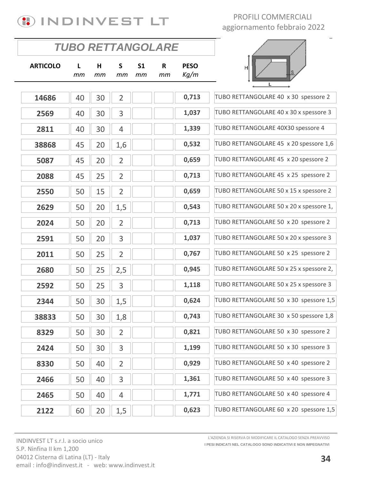

| L<br>тm | H<br>mm | $\mathsf{s}$<br>тm | S <sub>1</sub><br>mm | $\mathsf{R}$<br>mm | <b>PESO</b><br>Kg/m | H                                       |
|---------|---------|--------------------|----------------------|--------------------|---------------------|-----------------------------------------|
|         |         |                    |                      |                    |                     |                                         |
|         |         |                    |                      |                    |                     | TUBO RETTANGOLARE 40 x 30 spessore 2    |
| 40      | 30      | 3                  |                      |                    | 1,037               | TUBO RETTANGOLARE 40 x 30 x spessore 3  |
| 40      | 30      | 4                  |                      |                    | 1,339               | TUBO RETTANGOLARE 40X30 spessore 4      |
| 45      | 20      | 1,6                |                      |                    | 0,532               | TUBO RETTANGOLARE 45 x 20 spessore 1,6  |
| 45      | 20      | $\overline{2}$     |                      |                    | 0,659               | TUBO RETTANGOLARE 45 x 20 spessore 2    |
| 45      | 25      | $\overline{2}$     |                      |                    | 0,713               | TUBO RETTANGOLARE 45 x 25 spessore 2    |
| 50      | 15      | $\overline{2}$     |                      |                    | 0,659               | TUBO RETTANGOLARE 50 x 15 x spessore 2  |
| 50      | 20      | 1,5                |                      |                    | 0,543               | TUBO RETTANGOLARE 50 x 20 x spessore 1, |
| 50      | 20      | $\overline{2}$     |                      |                    | 0,713               | TUBO RETTANGOLARE 50 x 20 spessore 2    |
| 50      | 20      | 3                  |                      |                    | 1,037               | TUBO RETTANGOLARE 50 x 20 x spessore 3  |
| 50      | 25      | $\overline{2}$     |                      |                    | 0,767               | TUBO RETTANGOLARE 50 x 25 spessore 2    |
| 50      | 25      | 2,5                |                      |                    | 0,945               | TUBO RETTANGOLARE 50 x 25 x spessore 2, |
| 50      | 25      | 3                  |                      |                    | 1,118               | TUBO RETTANGOLARE 50 x 25 x spessore 3  |
| 50      | 30      | 1,5                |                      |                    | 0,624               | TUBO RETTANGOLARE 50 x 30 spessore 1,5  |
| 50      | 30      | 1,8                |                      |                    | 0,743               | TUBO RETTANGOLARE 30 x 50 spessore 1,8  |
| 50      | 30      | $\overline{2}$     |                      |                    | 0,821               | TUBO RETTANGOLARE 50 x 30 spessore 2    |
| 50      | 30      | 3                  |                      |                    | 1,199               | TUBO RETTANGOLARE 50 x 30 spessore 3    |
| 50      | 40      | $\overline{2}$     |                      |                    | 0,929               | TUBO RETTANGOLARE 50 x 40 spessore 2    |
| 50      | 40      | 3                  |                      |                    | 1,361               | TUBO RETTANGOLARE 50 x 40 spessore 3    |
| 50      | 40      | 4                  |                      |                    | 1,771               | TUBO RETTANGOLARE 50 x 40 spessore 4    |
| 60      | 20      | 1,5                |                      |                    | 0,623               | TUBO RETTANGOLARE 60 x 20 spessore 1,5  |
|         | 40      | 30                 | $\overline{2}$       |                    |                     | <b>TUBO RETTANGOLARE</b><br>0,713       |

**I PESI INDICATI NEL CATALOGO SONO INDICATIVI E NON IMPEGNATIVI** L'AZIENDA SI RISERVA DI MODIFICARE IL CATALOGO SENZA PREAVVISO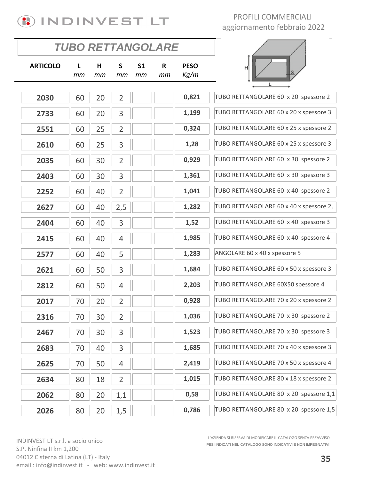

|                 | <b>TUBO RETTANGOLARE</b> |         |                    |                      |                    |                     |                                         |
|-----------------|--------------------------|---------|--------------------|----------------------|--------------------|---------------------|-----------------------------------------|
| <b>ARTICOLO</b> | L<br>mт                  | H<br>mт | $\mathsf{s}$<br>mт | S <sub>1</sub><br>тm | $\mathsf{R}$<br>mт | <b>PESO</b><br>Kg/m | Hl                                      |
| 2030            |                          |         | $\overline{2}$     |                      |                    | 0,821               | TUBO RETTANGOLARE 60 x 20 spessore 2    |
|                 | 60                       | 20      |                    |                      |                    |                     |                                         |
| 2733            | 60                       | 20      | 3                  |                      |                    | 1,199               | TUBO RETTANGOLARE 60 x 20 x spessore 3  |
| 2551            | 60                       | 25      | $\overline{2}$     |                      |                    | 0,324               | TUBO RETTANGOLARE 60 x 25 x spessore 2  |
| 2610            | 60                       | 25      | 3                  |                      |                    | 1,28                | TUBO RETTANGOLARE 60 x 25 x spessore 3  |
| 2035            | 60                       | 30      | $\overline{2}$     |                      |                    | 0,929               | TUBO RETTANGOLARE 60 x 30 spessore 2    |
| 2403            | 60                       | 30      | 3                  |                      |                    | 1,361               | TUBO RETTANGOLARE 60 x 30 spessore 3    |
| 2252            | 60                       | 40      | $\overline{2}$     |                      |                    | 1,041               | TUBO RETTANGOLARE 60 x 40 spessore 2    |
| 2627            | 60                       | 40      | 2,5                |                      |                    | 1,282               | TUBO RETTANGOLARE 60 x 40 x spessore 2, |
| 2404            | 60                       | 40      | 3                  |                      |                    | 1,52                | TUBO RETTANGOLARE 60 x 40 spessore 3    |
| 2415            | 60                       | 40      | $\overline{4}$     |                      |                    | 1,985               | TUBO RETTANGOLARE 60 x 40 spessore 4    |
| 2577            | 60                       | 40      | 5                  |                      |                    | 1,283               | ANGOLARE 60 x 40 x spessore 5           |
| 2621            | 60                       | 50      | 3                  |                      |                    | 1,684               | TUBO RETTANGOLARE 60 x 50 x spessore 3  |
| 2812            | 60                       | 50      | $\overline{4}$     |                      |                    | 2,203               | TUBO RETTANGOLARE 60X50 spessore 4      |
| 2017            | 70                       | 20      | $\overline{2}$     |                      |                    | 0,928               | TUBO RETTANGOLARE 70 x 20 x spessore 2  |
| 2316            | 70                       | 30      | $\overline{2}$     |                      |                    | 1,036               | TUBO RETTANGOLARE 70 x 30 spessore 2    |
| 2467            | 70                       | 30      | 3                  |                      |                    | 1,523               | TUBO RETTANGOLARE 70 x 30 spessore 3    |
| 2683            | 70                       | 40      | 3                  |                      |                    | 1,685               | TUBO RETTANGOLARE 70 x 40 x spessore 3  |
| 2625            | 70                       | 50      | 4                  |                      |                    | 2,419               | TUBO RETTANGOLARE 70 x 50 x spessore 4  |
| 2634            | 80                       | 18      | $\overline{2}$     |                      |                    | 1,015               | TUBO RETTANGOLARE 80 x 18 x spessore 2  |
| 2062            | 80                       | 20      | 1,1                |                      |                    | 0,58                | TUBO RETTANGOLARE 80 x 20 spessore 1,1  |
| 2026            | 80                       | 20      | 1,5                |                      |                    | 0,786               | TUBO RETTANGOLARE 80 x 20 spessore 1,5  |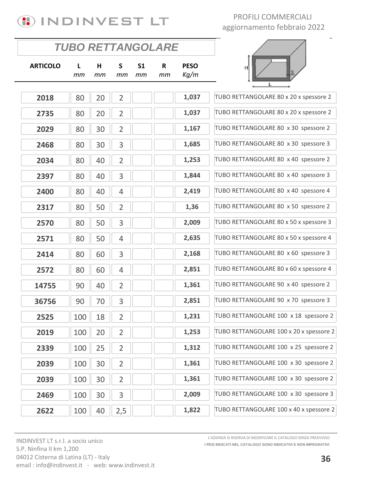

 $\overline{\phantom{a}}$ 

|                 | TUBO RETTANGOLARE |         |                |                      |         |                     |                                         |
|-----------------|-------------------|---------|----------------|----------------------|---------|---------------------|-----------------------------------------|
| <b>ARTICOLO</b> | L<br>тm           | H<br>тm | S<br>mm        | S <sub>1</sub><br>mm | R<br>mm | <b>PESO</b><br>Kg/m | S                                       |
|                 |                   |         |                |                      |         |                     | L                                       |
| 2018            | 80                | 20      | $\overline{2}$ |                      |         | 1,037               | TUBO RETTANGOLARE 80 x 20 x spessore 2  |
| 2735            | 80                | 20      | $\overline{2}$ |                      |         | 1,037               | TUBO RETTANGOLARE 80 x 20 x spessore 2  |
| 2029            | 80                | 30      | $\overline{2}$ |                      |         | 1,167               | TUBO RETTANGOLARE 80 x 30 spessore 2    |
| 2468            | 80                | 30      | 3              |                      |         | 1,685               | TUBO RETTANGOLARE 80 x 30 spessore 3    |
| 2034            | 80                | 40      | $\overline{2}$ |                      |         | 1,253               | TUBO RETTANGOLARE 80 x 40 spessore 2    |
| 2397            | 80                | 40      | 3              |                      |         | 1,844               | TUBO RETTANGOLARE 80 x 40 spessore 3    |
| 2400            | 80                | 40      | $\overline{4}$ |                      |         | 2,419               | TUBO RETTANGOLARE 80 x 40 spessore 4    |
| 2317            | 80                | 50      | $\overline{2}$ |                      |         | 1,36                | TUBO RETTANGOLARE 80 x 50 spessore 2    |
| 2570            | 80                | 50      | 3              |                      |         | 2,009               | TUBO RETTANGOLARE 80 x 50 x spessore 3  |
| 2571            | 80                | 50      | 4              |                      |         | 2,635               | TUBO RETTANGOLARE 80 x 50 x spessore 4  |
| 2414            | 80                | 60      | 3              |                      |         | 2,168               | TUBO RETTANGOLARE 80 x 60 spessore 3    |
| 2572            | 80                | 60      | $\overline{4}$ |                      |         | 2,851               | TUBO RETTANGOLARE 80 x 60 x spessore 4  |
| 14755           | 90                | 40      | $\overline{2}$ |                      |         | 1,361               | TUBO RETTANGOLARE 90 x 40 spessore 2    |
| 36756           | 90                | 70      | 3              |                      |         | 2,851               | TUBO RETTANGOLARE 90 x 70 spessore 3    |
| 2525            | 100               | 18      | $\overline{2}$ |                      |         | 1,231               | TUBO RETTANGOLARE 100 x 18 spessore 2   |
| 2019            | 100               | 20      | $\overline{2}$ |                      |         | 1,253               | TUBO RETTANGOLARE 100 x 20 x spessore 2 |
| 2339            | 100               | 25      | $\overline{2}$ |                      |         | 1,312               | TUBO RETTANGOLARE 100 x 25 spessore 2   |
| 2039            | 100               | 30      | $\overline{2}$ |                      |         | 1,361               | TUBO RETTANGOLARE 100 x 30 spessore 2   |
| 2039            | 100               | 30      | $\overline{2}$ |                      |         | 1,361               | TUBO RETTANGOLARE 100 x 30 spessore 2   |
| 2469            | 100               | 30      | 3              |                      |         | 2,009               | TUBO RETTANGOLARE 100 x 30 spessore 3   |
| 2622            | 100               | 40      | 2,5            |                      |         | 1,822               | TUBO RETTANGOLARE 100 x 40 x spessore 2 |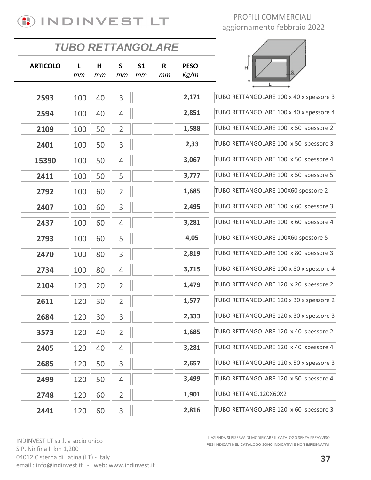

|                 | <b>TUBO RETTANGOLARE</b> |         |                |                      |         |                     |                                         |
|-----------------|--------------------------|---------|----------------|----------------------|---------|---------------------|-----------------------------------------|
| <b>ARTICOLO</b> | L<br>mm                  | н<br>mm | S<br>mm        | S <sub>1</sub><br>mm | R<br>mm | <b>PESO</b><br>Kg/m |                                         |
| 2593            | 100                      | 40      | 3              |                      |         | 2,171               | TUBO RETTANGOLARE 100 x 40 x spessore 3 |
| 2594            | 100                      | 40      | 4              |                      |         | 2,851               | TUBO RETTANGOLARE 100 x 40 x spessore 4 |
| 2109            | 100                      | 50      | $\overline{2}$ |                      |         | 1,588               | TUBO RETTANGOLARE 100 x 50 spessore 2   |
| 2401            | 100                      | 50      | 3              |                      |         | 2,33                | TUBO RETTANGOLARE 100 x 50 spessore 3   |
| 15390           | 100                      | 50      | $\overline{4}$ |                      |         | 3,067               | TUBO RETTANGOLARE 100 x 50 spessore 4   |
| 2411            | 100                      | 50      | 5              |                      |         | 3,777               | TUBO RETTANGOLARE 100 x 50 spessore 5   |
| 2792            | 100                      | 60      | $\overline{2}$ |                      |         | 1,685               | TUBO RETTANGOLARE 100X60 spessore 2     |
| 2407            | 100                      | 60      | 3              |                      |         | 2,495               | TUBO RETTANGOLARE 100 x 60 spessore 3   |
| 2437            | 100                      | 60      | 4              |                      |         | 3,281               | TUBO RETTANGOLARE 100 x 60 spessore 4   |
| 2793            | 100                      | 60      | 5              |                      |         | 4,05                | TUBO RETTANGOLARE 100X60 spessore 5     |
| 2470            | 100                      | 80      | 3              |                      |         | 2,819               | TUBO RETTANGOLARE 100 x 80 spessore 3   |
| 2734            | 100                      | 80      | $\overline{4}$ |                      |         | 3,715               | TUBO RETTANGOLARE 100 x 80 x spessore 4 |
| 2104            | 120                      | 20      | $\overline{2}$ |                      |         | 1,479               | TUBO RETTANGOLARE 120 x 20 spessore 2   |
| 2611            | 120                      | 30      | $\overline{2}$ |                      |         | 1,577               | TUBO RETTANGOLARE 120 x 30 x spessore 2 |
| 2684            | 120                      | 30      | 3              |                      |         | 2,333               | TUBO RETTANGOLARE 120 x 30 x spessore 3 |
| 3573            | 120                      | 40      | $\overline{2}$ |                      |         | 1,685               | TUBO RETTANGOLARE 120 x 40 spessore 2   |
| 2405            | 120                      | 40      | 4              |                      |         | 3,281               | TUBO RETTANGOLARE 120 x 40 spessore 4   |
| 2685            | 120                      | 50      | 3              |                      |         | 2,657               | TUBO RETTANGOLARE 120 x 50 x spessore 3 |
| 2499            | 120                      | 50      | $\overline{4}$ |                      |         | 3,499               | TUBO RETTANGOLARE 120 x 50 spessore 4   |
| 2748            | 120                      | 60      | $\overline{2}$ |                      |         | 1,901               | TUBO RETTANG.120X60X2                   |
| 2441            | 120                      | 60      | 3              |                      |         | 2,816               | TUBO RETTANGOLARE 120 x 60 spessore 3   |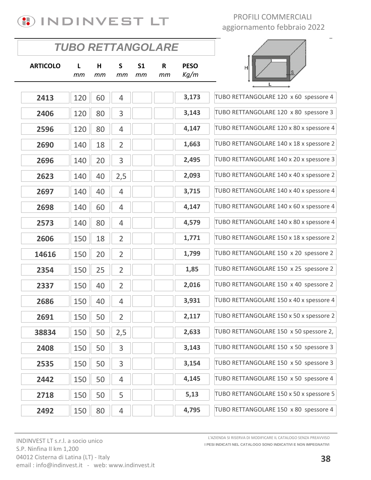

 $\overline{\phantom{a}}$ 

|                 | TUBO RETTANGOLARE |         |                |                      |         |                     |                                         |
|-----------------|-------------------|---------|----------------|----------------------|---------|---------------------|-----------------------------------------|
| <b>ARTICOLO</b> | L<br>тm           | H<br>mm | S<br>mт        | S <sub>1</sub><br>mт | R<br>mт | <b>PESO</b><br>Kg/m | н<br><b>S</b><br>L                      |
| 2413            | 120               | 60      | 4              |                      |         | 3,173               | TUBO RETTANGOLARE 120 x 60 spessore 4   |
| 2406            | 120               | 80      | 3              |                      |         | 3,143               | TUBO RETTANGOLARE 120 x 80 spessore 3   |
| 2596            | 120               | 80      | 4              |                      |         | 4,147               | TUBO RETTANGOLARE 120 x 80 x spessore 4 |
| 2690            | 140               | 18      | $\overline{2}$ |                      |         | 1,663               | TUBO RETTANGOLARE 140 x 18 x spessore 2 |
| 2696            | 140               | 20      | 3              |                      |         | 2,495               | TUBO RETTANGOLARE 140 x 20 x spessore 3 |
|                 |                   |         |                |                      |         | 2,093               | TUBO RETTANGOLARE 140 x 40 x spessore 2 |
| 2623            | 140               | 40      | 2,5            |                      |         |                     | TUBO RETTANGOLARE 140 x 40 x spessore 4 |
| 2697            | 140               | 40      | $\overline{4}$ |                      |         | 3,715               |                                         |
| 2698            | 140               | 60      | 4              |                      |         | 4,147               | TUBO RETTANGOLARE 140 x 60 x spessore 4 |
| 2573            | 140               | 80      | 4              |                      |         | 4,579               | TUBO RETTANGOLARE 140 x 80 x spessore 4 |
| 2606            | 150               | 18      | $\overline{2}$ |                      |         | 1,771               | TUBO RETTANGOLARE 150 x 18 x spessore 2 |
| 14616           | 150               | 20      | $\overline{2}$ |                      |         | 1,799               | TUBO RETTANGOLARE 150 x 20 spessore 2   |
| 2354            | 150               | 25      | $\overline{2}$ |                      |         | 1,85                | TUBO RETTANGOLARE 150 x 25 spessore 2   |
| 2337            | 150               | 40      | $\overline{2}$ |                      |         | 2,016               | TUBO RETTANGOLARE 150 x 40 spessore 2   |
| 2686            | 150               | 40      | $\overline{4}$ |                      |         | 3,931               | TUBO RETTANGOLARE 150 x 40 x spessore 4 |
| 2691            | 150               | 50      | $\overline{2}$ |                      |         | 2,117               | TUBO RETTANGOLARE 150 x 50 x spessore 2 |
| 38834           | 150               | 50      | 2,5            |                      |         | 2,633               | TUBO RETTANGOLARE 150 x 50 spessore 2,  |
| 2408            | 150               | 50      | 3              |                      |         | 3,143               | TUBO RETTANGOLARE 150 x 50 spessore 3   |
| 2535            | 150               | 50      | 3              |                      |         | 3,154               | TUBO RETTANGOLARE 150 x 50 spessore 3   |
| 2442            | 150               | 50      | $\overline{4}$ |                      |         | 4,145               | TUBO RETTANGOLARE 150 x 50 spessore 4   |
| 2718            | 150               | 50      | 5              |                      |         | 5,13                | TUBO RETTANGOLARE 150 x 50 x spessore 5 |
| 2492            | 150               | 80      | 4              |                      |         | 4,795               | TUBO RETTANGOLARE 150 x 80 spessore 4   |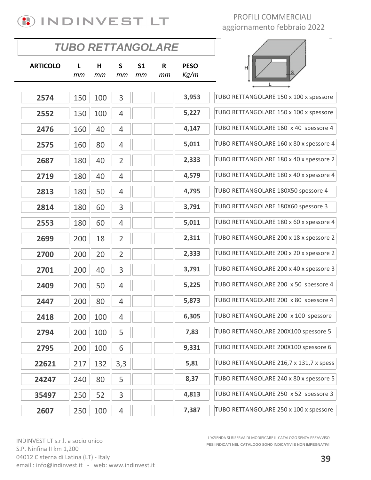

|                 | <b>TUBO RETTANGOLARE</b> |         |                |                      |         |                     |                                         |
|-----------------|--------------------------|---------|----------------|----------------------|---------|---------------------|-----------------------------------------|
| <b>ARTICOLO</b> | L<br>mm                  | Н<br>mm | S<br>mт        | S <sub>1</sub><br>mm | R<br>mm | <b>PESO</b><br>Kg/m | н                                       |
| 2574            | 150                      | 100     | 3              |                      |         | 3,953               | TUBO RETTANGOLARE 150 x 100 x spessore  |
| 2552            | 150                      | 100     | $\overline{4}$ |                      |         | 5,227               | TUBO RETTANGOLARE 150 x 100 x spessore  |
| 2476            | 160                      | 40      | $\overline{4}$ |                      |         | 4,147               | TUBO RETTANGOLARE 160 x 40 spessore 4   |
| 2575            | 160                      | 80      | 4              |                      |         | 5,011               | TUBO RETTANGOLARE 160 x 80 x spessore 4 |
| 2687            | 180                      | 40      | $\overline{2}$ |                      |         | 2,333               | TUBO RETTANGOLARE 180 x 40 x spessore 2 |
| 2719            | 180                      | 40      | $\overline{4}$ |                      |         | 4,579               | TUBO RETTANGOLARE 180 x 40 x spessore 4 |
| 2813            | 180                      | 50      | 4              |                      |         | 4,795               | TUBO RETTANGOLARE 180X50 spessore 4     |
| 2814            | 180                      | 60      | 3              |                      |         | 3,791               | TUBO RETTANGOLARE 180X60 spessore 3     |
| 2553            | 180                      | 60      | $\overline{4}$ |                      |         | 5,011               | TUBO RETTANGOLARE 180 x 60 x spessore 4 |
| 2699            | 200                      | 18      | $\overline{2}$ |                      |         | 2,311               | TUBO RETTANGOLARE 200 x 18 x spessore 2 |
| 2700            | 200                      | 20      | $\overline{2}$ |                      |         | 2,333               | TUBO RETTANGOLARE 200 x 20 x spessore 2 |
| 2701            | 200                      | 40      | 3              |                      |         | 3,791               | TUBO RETTANGOLARE 200 x 40 x spessore 3 |
| 2409            | 200                      | 50      | $\overline{4}$ |                      |         | 5,225               | TUBO RETTANGOLARE 200 x 50 spessore 4   |
| 2447            | 200                      | 80      | $\overline{4}$ |                      |         | 5,873               | TUBO RETTANGOLARE 200 x 80 spessore 4   |
| 2418            | 200                      | 100     | 4              |                      |         | 6,305               | TUBO RETTANGOLARE 200 x 100 spessore    |
| 2794            | 200                      | 100     | 5              |                      |         | 7,83                | TUBO RETTANGOLARE 200X100 spessore 5    |
| 2795            | 200                      | 100     | 6              |                      |         | 9,331               | TUBO RETTANGOLARE 200X100 spessore 6    |
| 22621           | 217                      | 132     | 3,3            |                      |         | 5,81                | TUBO RETTANGOLARE 216,7 x 131,7 x spess |
| 24247           | 240                      | 80      | 5              |                      |         | 8,37                | TUBO RETTANGOLARE 240 x 80 x spessore 5 |
| 35497           | 250                      | 52      | 3              |                      |         | 4,813               | TUBO RETTANGOLARE 250 x 52 spessore 3   |
| 2607            | 250                      | 100     | $\overline{4}$ |                      |         | 7,387               | TUBO RETTANGOLARE 250 x 100 x spessore  |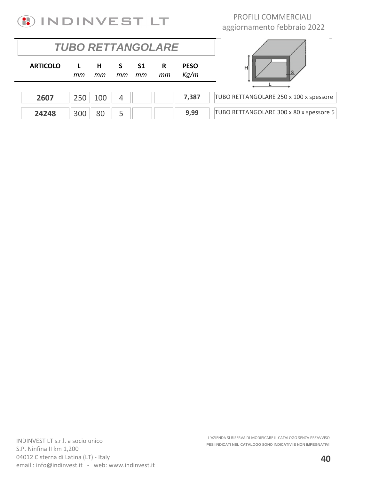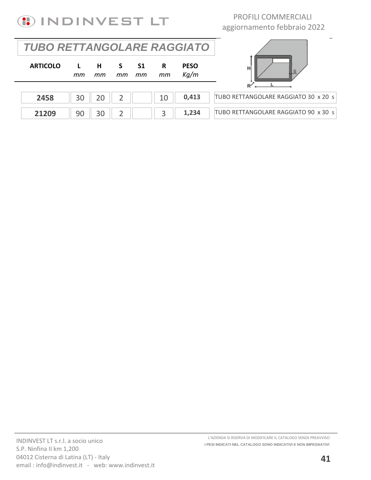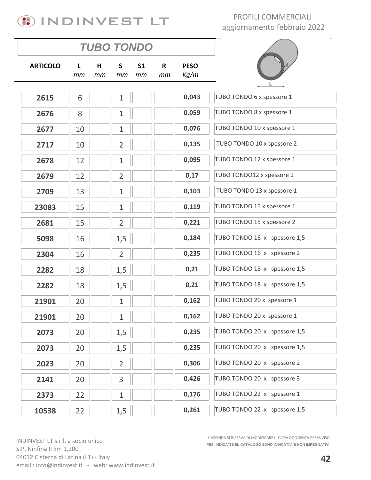

*TUBO TONDO*

PROFILI COMMERCIALI aggiornamento febbraio 2022

|                 |         | <i><b>IUBO IONDO</b></i> |                |                      |         |                     |                              |
|-----------------|---------|--------------------------|----------------|----------------------|---------|---------------------|------------------------------|
| <b>ARTICOLO</b> | L<br>mт | н<br>mm                  | S<br>тm        | S <sub>1</sub><br>mm | R<br>mm | <b>PESO</b><br>Kg/m |                              |
|                 |         |                          |                |                      |         |                     |                              |
| 2615            | 6       |                          | $\mathbf{1}$   |                      |         | 0,043               | TUBO TONDO 6 x spessore 1    |
| 2676            | 8       |                          | $\mathbf{1}$   |                      |         | 0,059               | TUBO TONDO 8 x spessore 1    |
| 2677            | 10      |                          | $\mathbf{1}$   |                      |         | 0,076               | TUBO TONDO 10 x spessore 1   |
| 2717            | 10      |                          | $\overline{2}$ |                      |         | 0,135               | TUBO TONDO 10 x spessore 2   |
| 2678            | 12      |                          | $\mathbf{1}$   |                      |         | 0,095               | TUBO TONDO 12 x spessore 1   |
| 2679            | 12      |                          | $\overline{2}$ |                      |         | 0,17                | TUBO TONDO12 x spessore 2    |
| 2709            | 13      |                          | $\mathbf{1}$   |                      |         | 0,103               | TUBO TONDO 13 x spessore 1   |
| 23083           | 15      |                          | $\mathbf{1}$   |                      |         | 0,119               | TUBO TONDO 15 x spessore 1   |
| 2681            | 15      |                          | $\overline{2}$ |                      |         | 0,221               | TUBO TONDO 15 x spessore 2   |
| 5098            | 16      |                          | 1,5            |                      |         | 0,184               | TUBO TONDO 16 x spessore 1,5 |
| 2304            | 16      |                          | $\overline{2}$ |                      |         | 0,235               | TUBO TONDO 16 x spessore 2   |
| 2282            | 18      |                          | 1,5            |                      |         | 0,21                | TUBO TONDO 18 x spessore 1,5 |
| 2282            | 18      |                          | 1,5            |                      |         | 0,21                | TUBO TONDO 18 x spessore 1,5 |
| 21901           | 20      |                          | $\mathbf{1}$   |                      |         | 0,162               | TUBO TONDO 20 x spessore 1   |
| 21901           | 20      |                          | 1              |                      |         | 0,162               | TUBO TONDO 20 x spessore 1   |
| 2073            | 20      |                          | 1,5            |                      |         | 0,235               | TUBO TONDO 20 x spessore 1,5 |
| 2073            | 20      |                          | 1,5            |                      |         | 0,235               | TUBO TONDO 20 x spessore 1,5 |
| 2023            | 20      |                          | $\overline{2}$ |                      |         | 0,306               | TUBO TONDO 20 x spessore 2   |
| 2141            | 20      |                          | 3              |                      |         | 0,426               | TUBO TONDO 20 x spessore 3   |
| 2373            | 22      |                          | $\mathbf{1}$   |                      |         | 0,176               | TUBO TONDO 22 x spessore 1   |
| 10538           | 22      |                          | 1,5            |                      |         | 0,261               | TUBO TONDO 22 x spessore 1,5 |
|                 |         |                          |                |                      |         |                     |                              |

INDINVEST LT s.r.l. a socio unico S.P. Ninfina II km 1,200 04012 Cisterna di Latina (LT) - Italy email: info@indinvest.it - web: www.indinvest.it **I PESI INDICATI NEL CATALOGO SONO INDICATIVI E NON IMPEGNATIVI** L'AZIENDA SI RISERVA DI MODIFICARE IL CATALOGO SENZA PREAVVISO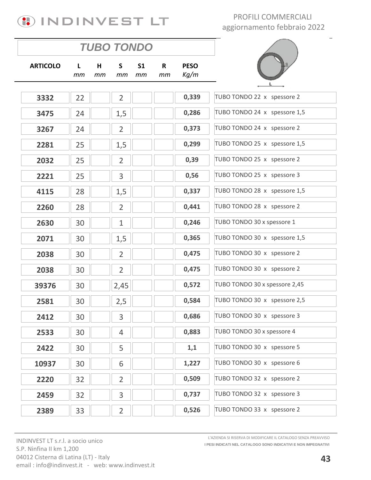# **(1) INDINVEST LT**

PROFILI COMMERCIALI aggiornamento febbraio 2022

|                 | <b>TUBO TONDO</b> |         |                |                      |                    |                     |                               |
|-----------------|-------------------|---------|----------------|----------------------|--------------------|---------------------|-------------------------------|
| <b>ARTICOLO</b> | L<br>тm           | н<br>mm | S<br>mm        | S <sub>1</sub><br>тm | $\mathsf{R}$<br>mm | <b>PESO</b><br>Kg/m |                               |
|                 |                   |         |                |                      |                    | 0,339               | TUBO TONDO 22 x spessore 2    |
| 3332            | 22                |         | $\overline{2}$ |                      |                    |                     |                               |
| 3475            | 24                |         | 1,5            |                      |                    | 0,286               | TUBO TONDO 24 x spessore 1,5  |
| 3267            | 24                |         | $\overline{2}$ |                      |                    | 0,373               | TUBO TONDO 24 x spessore 2    |
| 2281            | 25                |         | 1,5            |                      |                    | 0,299               | TUBO TONDO 25 x spessore 1,5  |
| 2032            | 25                |         | $\overline{2}$ |                      |                    | 0,39                | TUBO TONDO 25 x spessore 2    |
| 2221            | 25                |         | 3              |                      |                    | 0,56                | TUBO TONDO 25 x spessore 3    |
| 4115            | 28                |         | 1,5            |                      |                    | 0,337               | TUBO TONDO 28 x spessore 1,5  |
| 2260            | 28                |         | $\overline{2}$ |                      |                    | 0,441               | TUBO TONDO 28 x spessore 2    |
| 2630            | 30                |         | $\mathbf{1}$   |                      |                    | 0,246               | TUBO TONDO 30 x spessore 1    |
| 2071            | 30                |         | 1,5            |                      |                    | 0,365               | TUBO TONDO 30 x spessore 1,5  |
| 2038            | 30                |         | $\overline{2}$ |                      |                    | 0,475               | TUBO TONDO 30 x spessore 2    |
| 2038            | 30                |         | $\overline{2}$ |                      |                    | 0,475               | TUBO TONDO 30 x spessore 2    |
| 39376           | 30                |         | 2,45           |                      |                    | 0,572               | TUBO TONDO 30 x spessore 2,45 |
| 2581            | 30                |         | 2,5            |                      |                    | 0,584               | TUBO TONDO 30 x spessore 2,5  |
| 2412            | 30                |         | $\overline{3}$ |                      |                    | 0,686               | TUBO TONDO 30 x spessore 3    |
| 2533            | 30                |         | $\overline{4}$ |                      |                    | 0,883               | TUBO TONDO 30 x spessore 4    |
| 2422            | 30                |         | 5              |                      |                    | 1,1                 | TUBO TONDO 30 x spessore 5    |
| 10937           | 30                |         | 6              |                      |                    | 1,227               | TUBO TONDO 30 x spessore 6    |
| 2220            | 32                |         | $\overline{2}$ |                      |                    | 0,509               | TUBO TONDO 32 x spessore 2    |
| 2459            | 32                |         | 3              |                      |                    | 0,737               | TUBO TONDO 32 x spessore 3    |
| 2389            | 33                |         | $\overline{2}$ |                      |                    | 0,526               | TUBO TONDO 33 x spessore 2    |

INDINVEST LT s.r.l. a socio unico S.P. Ninfina II km 1,200 04012 Cisterna di Latina (LT) - Italy email: info@indinvest.it - web: www.indinvest.it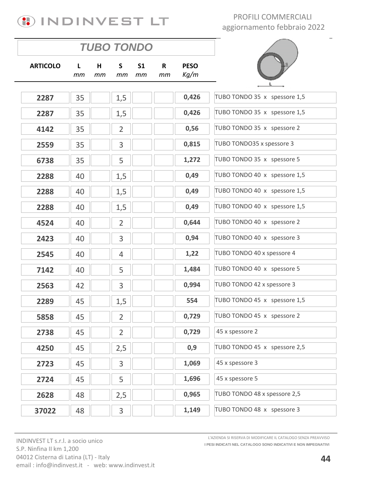# **(1) INDINVEST LT**

PROFILI COMMERCIALI aggiornamento febbraio 2022

| <b>TUBO TONDO</b> |          |         |                |                      |                    |                     |  |  |  |
|-------------------|----------|---------|----------------|----------------------|--------------------|---------------------|--|--|--|
| <b>ARTICOLO</b>   | L.<br>mm | H<br>тm | S<br>mm        | S <sub>1</sub><br>тm | $\mathsf{R}$<br>тm | <b>PESO</b><br>Kg/m |  |  |  |
| 2287              | 35       |         | 1,5            |                      |                    | 0,426               |  |  |  |
| 2287              | 35       |         | 1,5            |                      |                    | 0,426               |  |  |  |
|                   |          |         |                |                      |                    | 0,56                |  |  |  |
| 4142              | 35       |         | $\overline{2}$ |                      |                    |                     |  |  |  |
| 2559              | 35       |         | 3              |                      |                    | 0,815               |  |  |  |
| 6738              | 35       |         | 5              |                      |                    | 1,272               |  |  |  |
| 2288              | 40       |         | 1,5            |                      |                    | 0,49                |  |  |  |
| 2288              | 40       |         | 1,5            |                      |                    | 0,49                |  |  |  |
| 2288              | 40       |         | 1,5            |                      |                    | 0,49                |  |  |  |
| 4524              | 40       |         | $\overline{2}$ |                      |                    | 0,644               |  |  |  |
| 2423              | 40       |         | 3              |                      |                    | 0,94                |  |  |  |
| 2545              | 40       |         | 4              |                      |                    | 1,22                |  |  |  |
| 7142              | 40       |         | 5              |                      |                    | 1,484               |  |  |  |
| 2563              | 42       |         | 3              |                      |                    | 0,994               |  |  |  |
| 2289              | 45       |         | 1,5            |                      |                    | 554                 |  |  |  |
| 5858              | 45       |         | $\overline{2}$ |                      |                    | 0,729               |  |  |  |
| 2738              | 45       |         | $\overline{2}$ |                      |                    | 0,729               |  |  |  |
| 4250              | 45       |         | 2,5            |                      |                    | 0,9                 |  |  |  |
| 2723              | 45       |         | 3              |                      |                    | 1,069               |  |  |  |
| 2724              | 45       |         | 5              |                      |                    | 1,696               |  |  |  |
| 2628              | 48       |         | 2,5            |                      |                    | 0,965               |  |  |  |
| 37022             | 48       |         | 3              |                      |                    | 1,149               |  |  |  |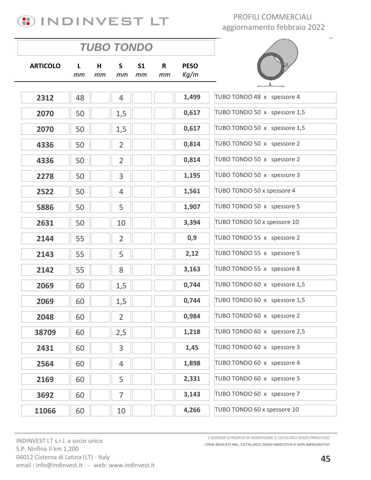

| <b>PESO</b><br><b>ARTICOLO</b><br>S<br>S <sub>1</sub><br>R<br>н<br>L.<br>Kg/m<br>тm<br>mm<br>mm<br>mт<br>mm<br>1,499<br>2312<br>48<br>$\overline{4}$<br>0,617<br>1,5<br>2070<br>50<br>0,617<br>50<br>1,5<br>2070<br>0,814<br>$\overline{2}$<br>50<br>4336<br>$\overline{2}$<br>0,814<br>50<br>4336<br>1,195<br>3<br>50<br>2278<br>1,561<br>50<br>$\overline{4}$<br>2522<br>5<br>1,907<br>50<br>5886<br>3,394<br>2631<br>50<br>10<br>0,9<br>55<br>$\overline{2}$<br>2144<br>5<br>2,12<br>55<br>2143<br>3,163<br>8<br>55<br>2142<br>0,744<br>1,5<br>60<br>2069<br>0,744<br>1,5<br>60<br>2069<br>60<br>$\overline{2}$<br>0,984<br>2048<br>1,218<br>60<br>2,5<br>38709<br>3<br>1,45<br>60<br>2431<br>1,898<br>60<br>$\overline{4}$<br>2564<br>2,331<br>5<br>2169<br>60<br>3,143<br>$\overline{7}$<br>60<br>3692 |
|-------------------------------------------------------------------------------------------------------------------------------------------------------------------------------------------------------------------------------------------------------------------------------------------------------------------------------------------------------------------------------------------------------------------------------------------------------------------------------------------------------------------------------------------------------------------------------------------------------------------------------------------------------------------------------------------------------------------------------------------------------------------------------------------------------------|
|                                                                                                                                                                                                                                                                                                                                                                                                                                                                                                                                                                                                                                                                                                                                                                                                             |
|                                                                                                                                                                                                                                                                                                                                                                                                                                                                                                                                                                                                                                                                                                                                                                                                             |
|                                                                                                                                                                                                                                                                                                                                                                                                                                                                                                                                                                                                                                                                                                                                                                                                             |
|                                                                                                                                                                                                                                                                                                                                                                                                                                                                                                                                                                                                                                                                                                                                                                                                             |
|                                                                                                                                                                                                                                                                                                                                                                                                                                                                                                                                                                                                                                                                                                                                                                                                             |
|                                                                                                                                                                                                                                                                                                                                                                                                                                                                                                                                                                                                                                                                                                                                                                                                             |
|                                                                                                                                                                                                                                                                                                                                                                                                                                                                                                                                                                                                                                                                                                                                                                                                             |
|                                                                                                                                                                                                                                                                                                                                                                                                                                                                                                                                                                                                                                                                                                                                                                                                             |
|                                                                                                                                                                                                                                                                                                                                                                                                                                                                                                                                                                                                                                                                                                                                                                                                             |
|                                                                                                                                                                                                                                                                                                                                                                                                                                                                                                                                                                                                                                                                                                                                                                                                             |
|                                                                                                                                                                                                                                                                                                                                                                                                                                                                                                                                                                                                                                                                                                                                                                                                             |
|                                                                                                                                                                                                                                                                                                                                                                                                                                                                                                                                                                                                                                                                                                                                                                                                             |
|                                                                                                                                                                                                                                                                                                                                                                                                                                                                                                                                                                                                                                                                                                                                                                                                             |
|                                                                                                                                                                                                                                                                                                                                                                                                                                                                                                                                                                                                                                                                                                                                                                                                             |
|                                                                                                                                                                                                                                                                                                                                                                                                                                                                                                                                                                                                                                                                                                                                                                                                             |
|                                                                                                                                                                                                                                                                                                                                                                                                                                                                                                                                                                                                                                                                                                                                                                                                             |
|                                                                                                                                                                                                                                                                                                                                                                                                                                                                                                                                                                                                                                                                                                                                                                                                             |
|                                                                                                                                                                                                                                                                                                                                                                                                                                                                                                                                                                                                                                                                                                                                                                                                             |
|                                                                                                                                                                                                                                                                                                                                                                                                                                                                                                                                                                                                                                                                                                                                                                                                             |
|                                                                                                                                                                                                                                                                                                                                                                                                                                                                                                                                                                                                                                                                                                                                                                                                             |
|                                                                                                                                                                                                                                                                                                                                                                                                                                                                                                                                                                                                                                                                                                                                                                                                             |
|                                                                                                                                                                                                                                                                                                                                                                                                                                                                                                                                                                                                                                                                                                                                                                                                             |
| 4,266<br>11066<br>60<br>10                                                                                                                                                                                                                                                                                                                                                                                                                                                                                                                                                                                                                                                                                                                                                                                  |

INDINVEST LT s.r.l. a socio unico S.P. Ninfina II km 1,200 04012 Cisterna di Latina (LT) - Italy email: info@indinvest.it - web: www.indinvest.it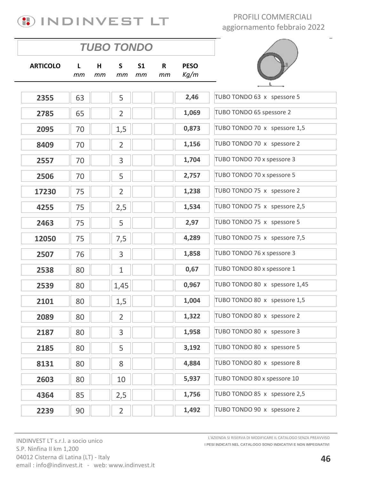

|                 | <b>TUBO TONDO</b> |         |                |                      |         |                     |                               |
|-----------------|-------------------|---------|----------------|----------------------|---------|---------------------|-------------------------------|
| <b>ARTICOLO</b> | L<br>mm           | н<br>mт | S<br>mm        | S <sub>1</sub><br>тm | R<br>mm | <b>PESO</b><br>Kg/m |                               |
|                 |                   |         |                |                      |         |                     |                               |
| 2355            | 63                |         | 5              |                      |         | 2,46                | TUBO TONDO 63 x spessore 5    |
| 2785            | 65                |         | $\overline{2}$ |                      |         | 1,069               | TUBO TONDO 65 spessore 2      |
| 2095            | 70                |         | 1,5            |                      |         | 0,873               | TUBO TONDO 70 x spessore 1,5  |
| 8409            | 70                |         | $\overline{2}$ |                      |         | 1,156               | TUBO TONDO 70 x spessore 2    |
| 2557            | 70                |         | 3              |                      |         | 1,704               | TUBO TONDO 70 x spessore 3    |
| 2506            | 70                |         | 5              |                      |         | 2,757               | TUBO TONDO 70 x spessore 5    |
| 17230           | 75                |         | $\overline{2}$ |                      |         | 1,238               | TUBO TONDO 75 x spessore 2    |
| 4255            | 75                |         | 2,5            |                      |         | 1,534               | TUBO TONDO 75 x spessore 2,5  |
| 2463            | 75                |         | 5              |                      |         | 2,97                | TUBO TONDO 75 x spessore 5    |
| 12050           | 75                |         | 7,5            |                      |         | 4,289               | TUBO TONDO 75 x spessore 7,5  |
| 2507            | 76                |         | 3              |                      |         | 1,858               | TUBO TONDO 76 x spessore 3    |
| 2538            | 80                |         | $\mathbf{1}$   |                      |         | 0,67                | TUBO TONDO 80 x spessore 1    |
| 2539            | 80                |         | 1,45           |                      |         | 0,967               | TUBO TONDO 80 x spessore 1,45 |
| 2101            | 80                |         | 1,5            |                      |         | 1,004               | TUBO TONDO 80 x spessore 1,5  |
| 2089            | 80                |         | $\overline{2}$ |                      |         | 1,322               | TUBO TONDO 80 x spessore 2    |
| 2187            | 80                |         | 3              |                      |         | 1,958               | TUBO TONDO 80 x spessore 3    |
| 2185            | 80                |         | 5              |                      |         | 3,192               | TUBO TONDO 80 x spessore 5    |
| 8131            | 80                |         | 8              |                      |         | 4,884               | TUBO TONDO 80 x spessore 8    |
| 2603            | 80                |         | 10             |                      |         | 5,937               | TUBO TONDO 80 x spessore 10   |
| 4364            | 85                |         | 2,5            |                      |         | 1,756               | TUBO TONDO 85 x spessore 2,5  |
| 2239            | 90                |         | $\overline{2}$ |                      |         | 1,492               | TUBO TONDO 90 x spessore 2    |
|                 |                   |         |                |                      |         |                     |                               |

INDINVEST LT s.r.l. a socio unico S.P. Ninfina II km 1,200 04012 Cisterna di Latina (LT) - Italy email: info@indinvest.it - web: www.indinvest.it **I PESI INDICATI NEL CATALOGO SONO INDICATIVI E NON IMPEGNATIVI** L'AZIENDA SI RISERVA DI MODIFICARE IL CATALOGO SENZA PREAVVISO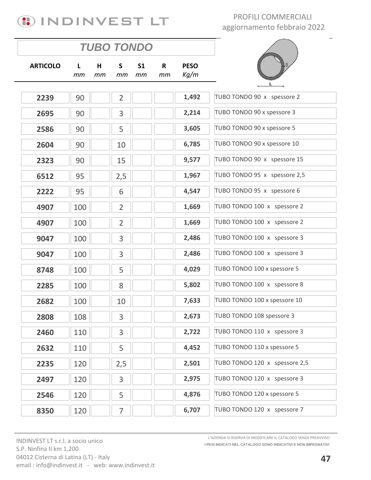# **(1) INDINVEST LT**

### PROFILI COMMERCIALI aggiornamento febbraio 2022

|                 | <b>TUBO TONDO</b>  |         |                    |                      |                    |                     |                               |
|-----------------|--------------------|---------|--------------------|----------------------|--------------------|---------------------|-------------------------------|
| <b>ARTICOLO</b> | $\mathbf{L}$<br>тm | H<br>mm | $\mathsf{S}$<br>тm | S <sub>1</sub><br>mm | $\mathsf{R}$<br>mm | <b>PESO</b><br>Kg/m |                               |
|                 |                    |         |                    |                      |                    | 1,492               | TUBO TONDO 90 x spessore 2    |
| 2239            | 90                 |         | $\overline{2}$     |                      |                    |                     |                               |
| 2695            | 90                 |         | 3                  |                      |                    | 2,214               | TUBO TONDO 90 x spessore 3    |
| 2586            | 90                 |         | 5                  |                      |                    | 3,605               | TUBO TONDO 90 x spessore 5    |
| 2604            | 90                 |         | 10                 |                      |                    | 6,785               | TUBO TONDO 90 x spessore 10   |
| 2323            | 90                 |         | 15                 |                      |                    | 9,577               | TUBO TONDO 90 x spessore 15   |
| 6512            | 95                 |         | 2,5                |                      |                    | 1,967               | TUBO TONDO 95 x spessore 2,5  |
| 2222            | 95                 |         | 6                  |                      |                    | 4,547               | TUBO TONDO 95 x spessore 6    |
| 4907            | 100                |         | $\overline{2}$     |                      |                    | 1,669               | TUBO TONDO 100 x spessore 2   |
| 4907            | 100                |         | $\overline{2}$     |                      |                    | 1,669               | TUBO TONDO 100 x spessore 2   |
| 9047            | 100                |         | 3                  |                      |                    | 2,486               | TUBO TONDO 100 x spessore 3   |
| 9047            | 100                |         | 3                  |                      |                    | 2,486               | TUBO TONDO 100 x spessore 3   |
| 8748            | 100                |         | 5                  |                      |                    | 4,029               | TUBO TONDO 100 x spessore 5   |
| 2285            | 100                |         | 8                  |                      |                    | 5,802               | TUBO TONDO 100 x spessore 8   |
| 2682            | 100                |         | 10                 |                      |                    | 7,633               | TUBO TONDO 100 x spessore 10  |
| 2808            | 108                |         | 3                  |                      |                    | 2,673               | TUBO TONDO 108 spessore 3     |
| 2460            | 110                |         | 3                  |                      |                    | 2,722               | TUBO TONDO 110 x spessore 3   |
| 2632            | 110                |         | 5                  |                      |                    | 4,452               | TUBO TONDO 110 x spessore 5   |
| 2235            | 120                |         | 2,5                |                      |                    | 2,501               | TUBO TONDO 120 x spessore 2,5 |
| 2497            | 120                |         | 3                  |                      |                    | 2,975               | TUBO TONDO 120 x spessore 3   |
| 2546            | 120                |         | 5                  |                      |                    | 4,876               | TUBO TONDO 120 x spessore 5   |
| 8350            | 120                |         | $\overline{7}$     |                      |                    | 6,707               | TUBO TONDO 120 x spessore 7   |